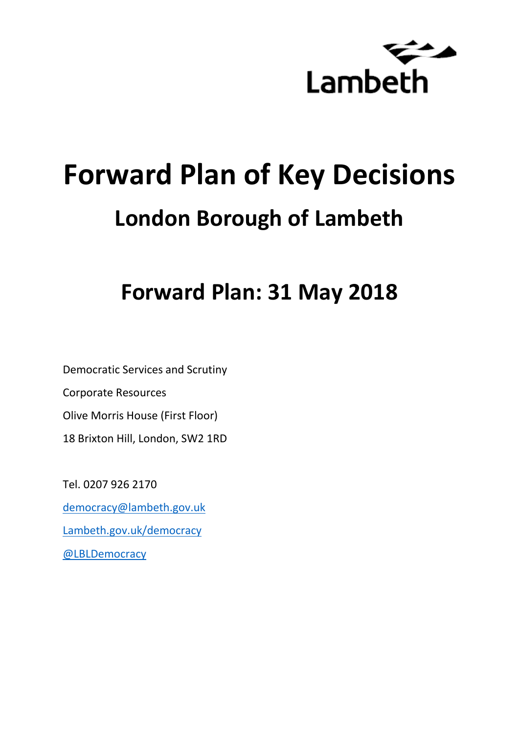

# **Forward Plan of Key Decisions London Borough of Lambeth**

# **Forward Plan: 31 May 2018**

Democratic Services and Scrutiny Corporate Resources Olive Morris House (First Floor) 18 Brixton Hill, London, SW2 1RD

Tel. 0207 926 2170 [democracy@lambeth.gov.uk](mailto:democracy@lambeth.gov.uk) [Lambeth.gov.uk/democracy](https://www.lambeth.gov.uk/elections-and-council/meetings-minutes-and-agendas/getting-involved-in-decision-making-guide) [@LBLDemocracy](https://twitter.com/LBLDemocracy?lang=en)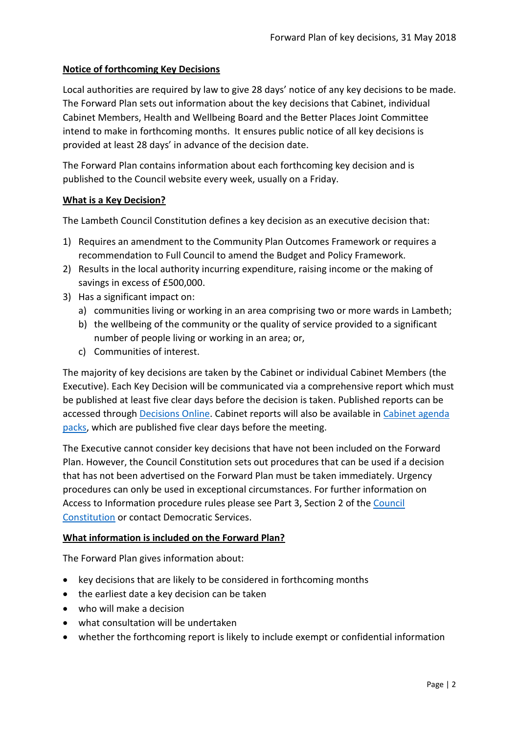# **Notice of forthcoming Key Decisions**

Local authorities are required by law to give 28 days' notice of any key decisions to be made. The Forward Plan sets out information about the key decisions that Cabinet, individual Cabinet Members, Health and Wellbeing Board and the Better Places Joint Committee intend to make in forthcoming months. It ensures public notice of all key decisions is provided at least 28 days' in advance of the decision date.

The Forward Plan contains information about each forthcoming key decision and is published to the Council website every week, usually on a Friday.

#### **What is a Key Decision?**

The Lambeth Council Constitution defines a key decision as an executive decision that:

- 1) Requires an amendment to the Community Plan Outcomes Framework or requires a recommendation to Full Council to amend the Budget and Policy Framework.
- 2) Results in the local authority incurring expenditure, raising income or the making of savings in excess of £500,000.
- 3) Has a significant impact on:
	- a) communities living or working in an area comprising two or more wards in Lambeth;
	- b) the wellbeing of the community or the quality of service provided to a significant number of people living or working in an area; or,
	- c) Communities of interest.

The majority of key decisions are taken by the Cabinet or individual Cabinet Members (the Executive). Each Key Decision will be communicated via a comprehensive report which must be published at least five clear days before the decision is taken. Published reports can be accessed through [Decisions Online.](http://moderngov.lambeth.gov.uk/mgDelegatedDecisions.aspx?bcr=1&DM=0&DS=2&K=0&DR=&V=0) Cabinet reports will also be available in [Cabinet agenda](https://moderngov.lambeth.gov.uk/ieListMeetings.aspx?CommitteeId=225)  [packs,](https://moderngov.lambeth.gov.uk/ieListMeetings.aspx?CommitteeId=225) which are published five clear days before the meeting.

The Executive cannot consider key decisions that have not been included on the Forward Plan. However, the Council Constitution sets out procedures that can be used if a decision that has not been advertised on the Forward Plan must be taken immediately. Urgency procedures can only be used in exceptional circumstances. For further information on Access to Information procedure rules please see Part 3, Section 2 of the [Council](http://moderngov.lambeth.gov.uk/ieListMeetings.aspx?CId=738&info=1&MD=Constitution)  [Constitution](http://moderngov.lambeth.gov.uk/ieListMeetings.aspx?CId=738&info=1&MD=Constitution) or contact Democratic Services.

# **What information is included on the Forward Plan?**

The Forward Plan gives information about:

- key decisions that are likely to be considered in forthcoming months
- the earliest date a key decision can be taken
- who will make a decision
- what consultation will be undertaken
- whether the forthcoming report is likely to include exempt or confidential information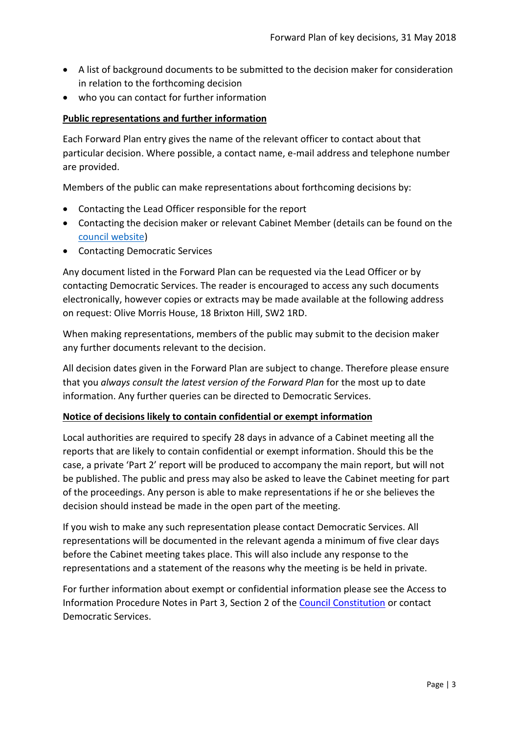- A list of background documents to be submitted to the decision maker for consideration in relation to the forthcoming decision
- who you can contact for further information

# **Public representations and further information**

Each Forward Plan entry gives the name of the relevant officer to contact about that particular decision. Where possible, a contact name, e-mail address and telephone number are provided.

Members of the public can make representations about forthcoming decisions by:

- Contacting the Lead Officer responsible for the report
- Contacting the decision maker or relevant Cabinet Member (details can be found on the [council website\)](http://moderngov.lambeth.gov.uk/mgMemberIndex.aspx?bcr=1)
- Contacting Democratic Services

Any document listed in the Forward Plan can be requested via the Lead Officer or by contacting Democratic Services. The reader is encouraged to access any such documents electronically, however copies or extracts may be made available at the following address on request: Olive Morris House, 18 Brixton Hill, SW2 1RD.

When making representations, members of the public may submit to the decision maker any further documents relevant to the decision.

All decision dates given in the Forward Plan are subject to change. Therefore please ensure that you *always consult the latest version of the Forward Plan* for the most up to date information. Any further queries can be directed to Democratic Services.

#### **Notice of decisions likely to contain confidential or exempt information**

Local authorities are required to specify 28 days in advance of a Cabinet meeting all the reports that are likely to contain confidential or exempt information. Should this be the case, a private 'Part 2' report will be produced to accompany the main report, but will not be published. The public and press may also be asked to leave the Cabinet meeting for part of the proceedings. Any person is able to make representations if he or she believes the decision should instead be made in the open part of the meeting.

If you wish to make any such representation please contact Democratic Services. All representations will be documented in the relevant agenda a minimum of five clear days before the Cabinet meeting takes place. This will also include any response to the representations and a statement of the reasons why the meeting is be held in private.

For further information about exempt or confidential information please see the Access to Information Procedure Notes in Part 3, Section 2 of the [Council Constitution](http://www.lambeth.gov.uk/sites/default/files/ec-Council-Constitution-2014-15-approved-with-changes-November-2014.pdf) or contact Democratic Services.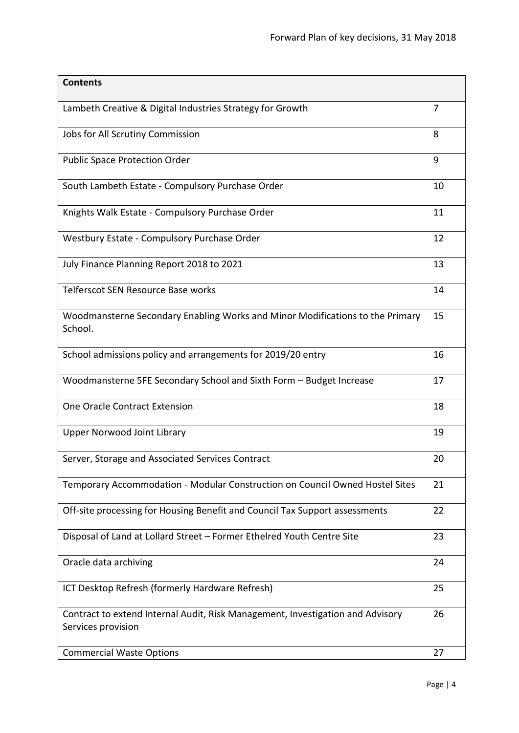| <b>Contents</b>                                                                                      |    |
|------------------------------------------------------------------------------------------------------|----|
| Lambeth Creative & Digital Industries Strategy for Growth                                            | 7  |
| Jobs for All Scrutiny Commission                                                                     | 8  |
| <b>Public Space Protection Order</b>                                                                 | 9  |
| South Lambeth Estate - Compulsory Purchase Order                                                     | 10 |
| Knights Walk Estate - Compulsory Purchase Order                                                      | 11 |
| Westbury Estate - Compulsory Purchase Order                                                          | 12 |
| July Finance Planning Report 2018 to 2021                                                            | 13 |
| Telferscot SEN Resource Base works                                                                   | 14 |
| Woodmansterne Secondary Enabling Works and Minor Modifications to the Primary<br>School.             | 15 |
| School admissions policy and arrangements for 2019/20 entry                                          | 16 |
| Woodmansterne 5FE Secondary School and Sixth Form - Budget Increase                                  | 17 |
| One Oracle Contract Extension                                                                        | 18 |
| <b>Upper Norwood Joint Library</b>                                                                   | 19 |
| Server, Storage and Associated Services Contract                                                     | 20 |
| Temporary Accommodation - Modular Construction on Council Owned Hostel Sites                         | 21 |
| Off-site processing for Housing Benefit and Council Tax Support assessments                          | 22 |
| Disposal of Land at Lollard Street - Former Ethelred Youth Centre Site                               | 23 |
| Oracle data archiving                                                                                | 24 |
| ICT Desktop Refresh (formerly Hardware Refresh)                                                      | 25 |
| Contract to extend Internal Audit, Risk Management, Investigation and Advisory<br>Services provision | 26 |
| <b>Commercial Waste Options</b>                                                                      | 27 |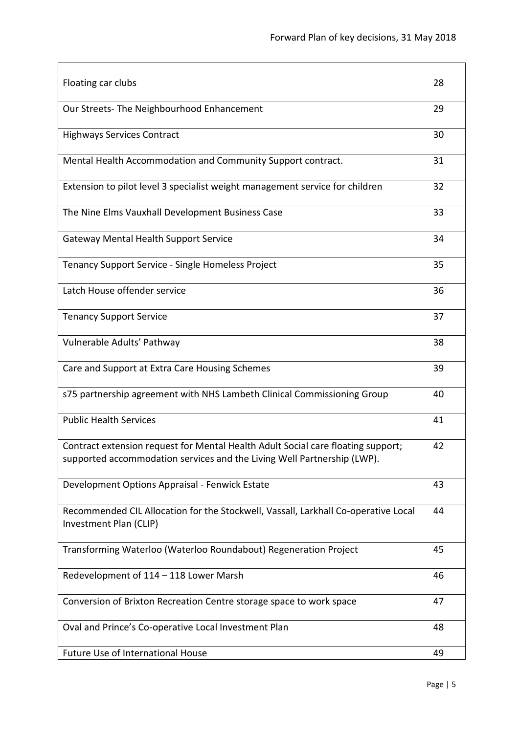| Floating car clubs                                                                                                                                          | 28 |
|-------------------------------------------------------------------------------------------------------------------------------------------------------------|----|
| Our Streets- The Neighbourhood Enhancement                                                                                                                  | 29 |
| <b>Highways Services Contract</b>                                                                                                                           | 30 |
| Mental Health Accommodation and Community Support contract.                                                                                                 | 31 |
| Extension to pilot level 3 specialist weight management service for children                                                                                | 32 |
| The Nine Elms Vauxhall Development Business Case                                                                                                            | 33 |
| <b>Gateway Mental Health Support Service</b>                                                                                                                | 34 |
| Tenancy Support Service - Single Homeless Project                                                                                                           | 35 |
| Latch House offender service                                                                                                                                | 36 |
| <b>Tenancy Support Service</b>                                                                                                                              | 37 |
| Vulnerable Adults' Pathway                                                                                                                                  | 38 |
| Care and Support at Extra Care Housing Schemes                                                                                                              | 39 |
| s75 partnership agreement with NHS Lambeth Clinical Commissioning Group                                                                                     | 40 |
| <b>Public Health Services</b>                                                                                                                               | 41 |
| Contract extension request for Mental Health Adult Social care floating support;<br>supported accommodation services and the Living Well Partnership (LWP). | 42 |
| Development Options Appraisal - Fenwick Estate                                                                                                              | 43 |
| Recommended CIL Allocation for the Stockwell, Vassall, Larkhall Co-operative Local<br>Investment Plan (CLIP)                                                | 44 |
| Transforming Waterloo (Waterloo Roundabout) Regeneration Project                                                                                            | 45 |
| Redevelopment of 114 - 118 Lower Marsh                                                                                                                      | 46 |
| Conversion of Brixton Recreation Centre storage space to work space                                                                                         | 47 |
| Oval and Prince's Co-operative Local Investment Plan                                                                                                        | 48 |
| Future Use of International House                                                                                                                           | 49 |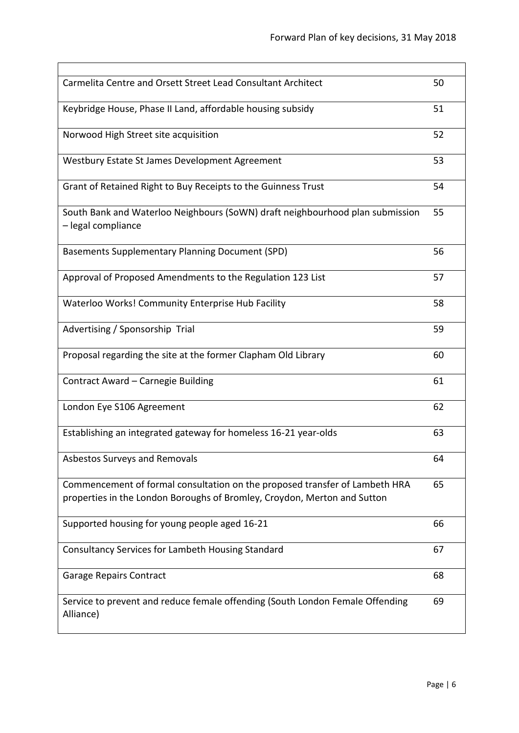| Carmelita Centre and Orsett Street Lead Consultant Architect                                                                                            | 50 |
|---------------------------------------------------------------------------------------------------------------------------------------------------------|----|
| Keybridge House, Phase II Land, affordable housing subsidy                                                                                              | 51 |
| Norwood High Street site acquisition                                                                                                                    | 52 |
| Westbury Estate St James Development Agreement                                                                                                          | 53 |
| Grant of Retained Right to Buy Receipts to the Guinness Trust                                                                                           | 54 |
| South Bank and Waterloo Neighbours (SoWN) draft neighbourhood plan submission<br>- legal compliance                                                     | 55 |
| <b>Basements Supplementary Planning Document (SPD)</b>                                                                                                  | 56 |
| Approval of Proposed Amendments to the Regulation 123 List                                                                                              | 57 |
| Waterloo Works! Community Enterprise Hub Facility                                                                                                       | 58 |
| Advertising / Sponsorship Trial                                                                                                                         | 59 |
| Proposal regarding the site at the former Clapham Old Library                                                                                           | 60 |
| Contract Award – Carnegie Building                                                                                                                      | 61 |
| London Eye S106 Agreement                                                                                                                               | 62 |
| Establishing an integrated gateway for homeless 16-21 year-olds                                                                                         | 63 |
| Asbestos Surveys and Removals                                                                                                                           | 64 |
| Commencement of formal consultation on the proposed transfer of Lambeth HRA<br>properties in the London Boroughs of Bromley, Croydon, Merton and Sutton | 65 |
| Supported housing for young people aged 16-21                                                                                                           | 66 |
| Consultancy Services for Lambeth Housing Standard                                                                                                       | 67 |
| <b>Garage Repairs Contract</b>                                                                                                                          | 68 |
| Service to prevent and reduce female offending (South London Female Offending<br>Alliance)                                                              | 69 |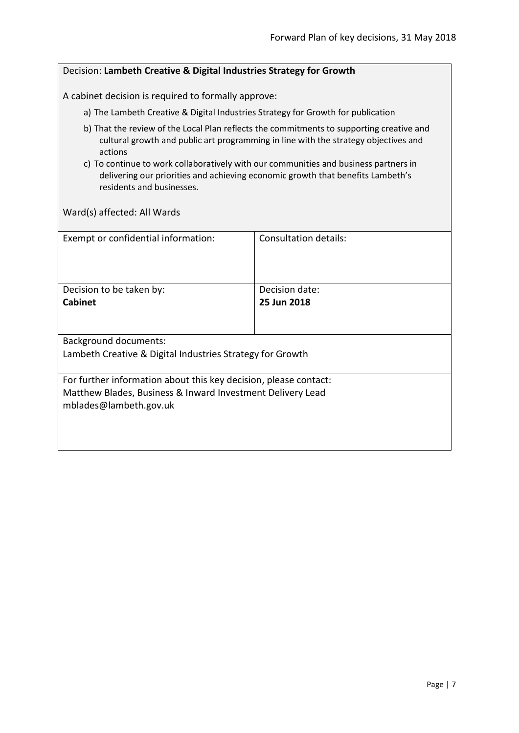<span id="page-6-0"></span>

| Decision: Lambeth Creative & Digital Industries Strategy for Growth                                                                                                                                  |                       |  |
|------------------------------------------------------------------------------------------------------------------------------------------------------------------------------------------------------|-----------------------|--|
| A cabinet decision is required to formally approve:                                                                                                                                                  |                       |  |
| a) The Lambeth Creative & Digital Industries Strategy for Growth for publication                                                                                                                     |                       |  |
| b) That the review of the Local Plan reflects the commitments to supporting creative and<br>cultural growth and public art programming in line with the strategy objectives and<br>actions           |                       |  |
| c) To continue to work collaboratively with our communities and business partners in<br>delivering our priorities and achieving economic growth that benefits Lambeth's<br>residents and businesses. |                       |  |
| Ward(s) affected: All Wards                                                                                                                                                                          |                       |  |
| Exempt or confidential information:                                                                                                                                                                  | Consultation details: |  |
|                                                                                                                                                                                                      |                       |  |
| Decision to be taken by:                                                                                                                                                                             | Decision date:        |  |
| <b>Cabinet</b>                                                                                                                                                                                       | 25 Jun 2018           |  |
|                                                                                                                                                                                                      |                       |  |
| <b>Background documents:</b>                                                                                                                                                                         |                       |  |
| Lambeth Creative & Digital Industries Strategy for Growth                                                                                                                                            |                       |  |
| For further information about this key decision, please contact:                                                                                                                                     |                       |  |
| Matthew Blades, Business & Inward Investment Delivery Lead<br>mblades@lambeth.gov.uk                                                                                                                 |                       |  |
|                                                                                                                                                                                                      |                       |  |
|                                                                                                                                                                                                      |                       |  |
|                                                                                                                                                                                                      |                       |  |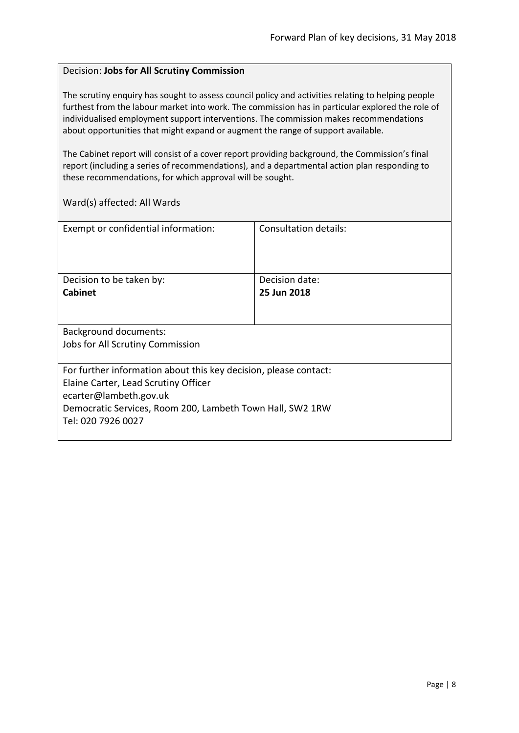#### <span id="page-7-0"></span>Decision: **Jobs for All Scrutiny Commission**

The scrutiny enquiry has sought to assess council policy and activities relating to helping people furthest from the labour market into work. The commission has in particular explored the role of individualised employment support interventions. The commission makes recommendations about opportunities that might expand or augment the range of support available.

The Cabinet report will consist of a cover report providing background, the Commission's final report (including a series of recommendations), and a departmental action plan responding to these recommendations, for which approval will be sought.

| Exempt or confidential information:                              | Consultation details: |
|------------------------------------------------------------------|-----------------------|
| Decision to be taken by:                                         | Decision date:        |
| <b>Cabinet</b>                                                   | 25 Jun 2018           |
|                                                                  |                       |
| <b>Background documents:</b>                                     |                       |
| Jobs for All Scrutiny Commission                                 |                       |
| For further information about this key decision, please contact: |                       |
| Elaine Carter, Lead Scrutiny Officer                             |                       |
| ecarter@lambeth.gov.uk                                           |                       |
| Democratic Services, Room 200, Lambeth Town Hall, SW2 1RW        |                       |
| Tel: 020 7926 0027                                               |                       |
|                                                                  |                       |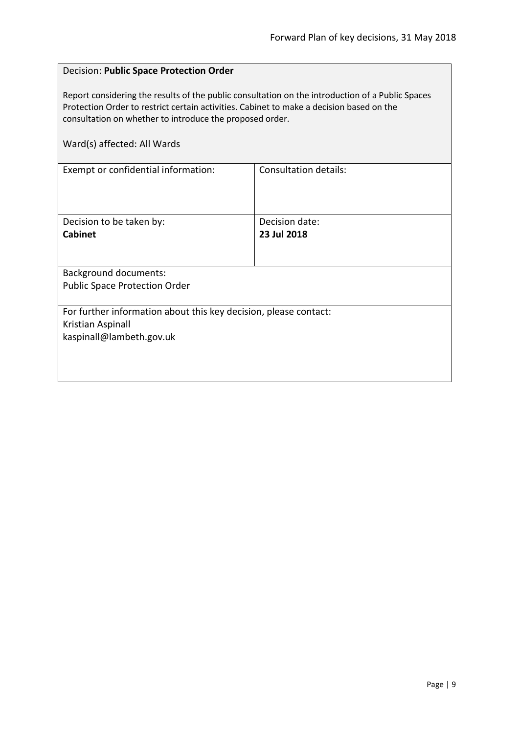#### <span id="page-8-0"></span>Decision: **Public Space Protection Order**

Report considering the results of the public consultation on the introduction of a Public Spaces Protection Order to restrict certain activities. Cabinet to make a decision based on the consultation on whether to introduce the proposed order.

| Consultation details:                                            |  |  |
|------------------------------------------------------------------|--|--|
|                                                                  |  |  |
| Decision date:                                                   |  |  |
| 23 Jul 2018                                                      |  |  |
|                                                                  |  |  |
|                                                                  |  |  |
| <b>Public Space Protection Order</b>                             |  |  |
|                                                                  |  |  |
| For further information about this key decision, please contact: |  |  |
| Kristian Aspinall                                                |  |  |
|                                                                  |  |  |
|                                                                  |  |  |
|                                                                  |  |  |
|                                                                  |  |  |
|                                                                  |  |  |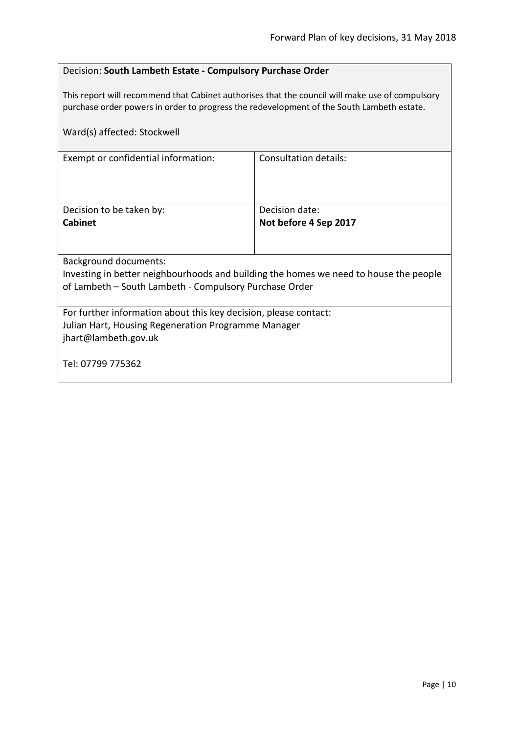# <span id="page-9-0"></span>Decision: **South Lambeth Estate - Compulsory Purchase Order**

This report will recommend that Cabinet authorises that the council will make use of compulsory purchase order powers in order to progress the redevelopment of the South Lambeth estate.

| Ward(s) affected: Stockwell                                                           |                       |  |
|---------------------------------------------------------------------------------------|-----------------------|--|
| Exempt or confidential information:                                                   | Consultation details: |  |
| Decision to be taken by:                                                              | Decision date:        |  |
| <b>Cabinet</b>                                                                        | Not before 4 Sep 2017 |  |
|                                                                                       |                       |  |
| Background documents:                                                                 |                       |  |
| Investing in better neighbourhoods and building the homes we need to house the people |                       |  |
| of Lambeth – South Lambeth - Compulsory Purchase Order                                |                       |  |
| For further information about this key decision, please contact:                      |                       |  |
| Julian Hart, Housing Regeneration Programme Manager                                   |                       |  |
| jhart@lambeth.gov.uk                                                                  |                       |  |
| Tel: 07799 775362                                                                     |                       |  |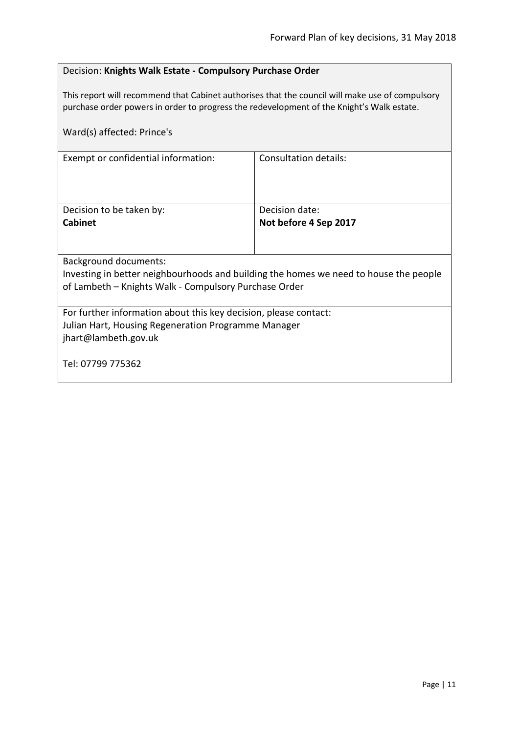# <span id="page-10-0"></span>Decision: **Knights Walk Estate - Compulsory Purchase Order**

This report will recommend that Cabinet authorises that the council will make use of compulsory purchase order powers in order to progress the redevelopment of the Knight's Walk estate.

| Ward(s) affected: Prince's                                                            |                              |  |
|---------------------------------------------------------------------------------------|------------------------------|--|
| Exempt or confidential information:                                                   | <b>Consultation details:</b> |  |
| Decision to be taken by:                                                              | Decision date:               |  |
| <b>Cabinet</b>                                                                        | Not before 4 Sep 2017        |  |
|                                                                                       |                              |  |
| <b>Background documents:</b>                                                          |                              |  |
| Investing in better neighbourhoods and building the homes we need to house the people |                              |  |
| of Lambeth - Knights Walk - Compulsory Purchase Order                                 |                              |  |
| For further information about this key decision, please contact:                      |                              |  |
| Julian Hart, Housing Regeneration Programme Manager                                   |                              |  |
| jhart@lambeth.gov.uk                                                                  |                              |  |
| Tel: 07799 775362                                                                     |                              |  |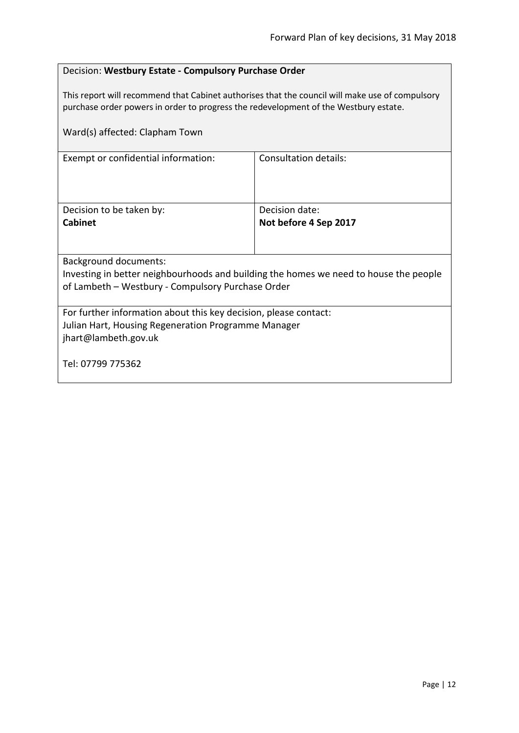# <span id="page-11-0"></span>Decision: **Westbury Estate - Compulsory Purchase Order**

This report will recommend that Cabinet authorises that the council will make use of compulsory purchase order powers in order to progress the redevelopment of the Westbury estate.

| Ward(s) affected: Clapham Town                                                        |                       |  |
|---------------------------------------------------------------------------------------|-----------------------|--|
| Exempt or confidential information:                                                   | Consultation details: |  |
| Decision to be taken by:                                                              | Decision date:        |  |
| <b>Cabinet</b>                                                                        | Not before 4 Sep 2017 |  |
| <b>Background documents:</b>                                                          |                       |  |
| Investing in better neighbourhoods and building the homes we need to house the people |                       |  |
| of Lambeth - Westbury - Compulsory Purchase Order                                     |                       |  |
|                                                                                       |                       |  |
| For further information about this key decision, please contact:                      |                       |  |
| Julian Hart, Housing Regeneration Programme Manager                                   |                       |  |
| jhart@lambeth.gov.uk                                                                  |                       |  |
| Tel: 07799 775362                                                                     |                       |  |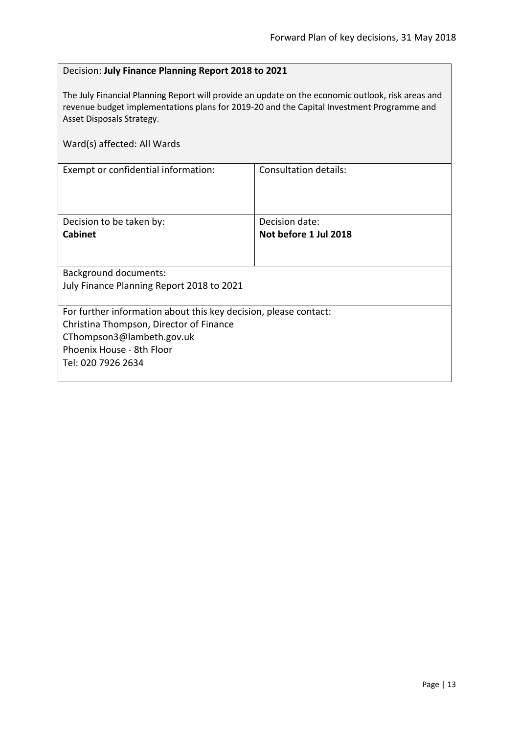# <span id="page-12-0"></span>Decision: **July Finance Planning Report 2018 to 2021**

The July Financial Planning Report will provide an update on the economic outlook, risk areas and revenue budget implementations plans for 2019-20 and the Capital Investment Programme and Asset Disposals Strategy.

| Ward(s) affected: All Wards                                      |                                         |  |
|------------------------------------------------------------------|-----------------------------------------|--|
| Exempt or confidential information:                              | Consultation details:                   |  |
|                                                                  |                                         |  |
| Decision to be taken by:<br><b>Cabinet</b>                       | Decision date:<br>Not before 1 Jul 2018 |  |
|                                                                  |                                         |  |
| <b>Background documents:</b>                                     |                                         |  |
| July Finance Planning Report 2018 to 2021                        |                                         |  |
|                                                                  |                                         |  |
| For further information about this key decision, please contact: |                                         |  |
| Christina Thompson, Director of Finance                          |                                         |  |
| CThompson3@lambeth.gov.uk                                        |                                         |  |
| Phoenix House - 8th Floor                                        |                                         |  |
| Tel: 020 7926 2634                                               |                                         |  |
|                                                                  |                                         |  |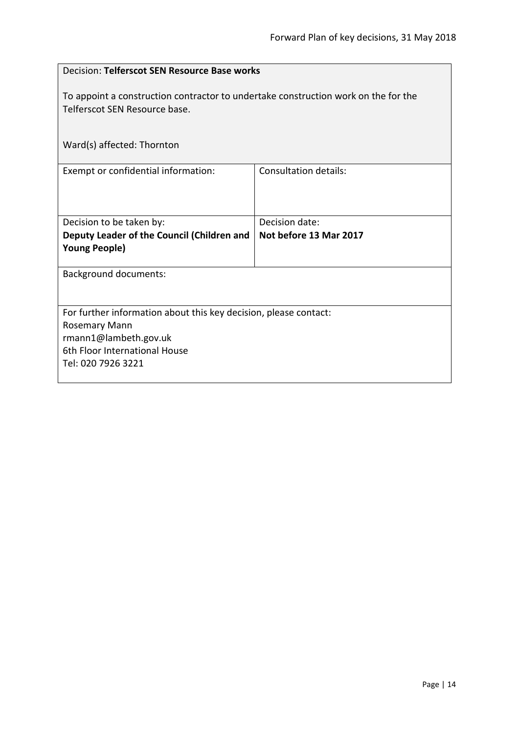<span id="page-13-0"></span>

| Decision: Telferscot SEN Resource Base works                                                                        |                              |  |
|---------------------------------------------------------------------------------------------------------------------|------------------------------|--|
| To appoint a construction contractor to undertake construction work on the for the<br>Telferscot SEN Resource base. |                              |  |
| Ward(s) affected: Thornton                                                                                          |                              |  |
| Exempt or confidential information:                                                                                 | <b>Consultation details:</b> |  |
| Decision to be taken by:                                                                                            | Decision date:               |  |
| Deputy Leader of the Council (Children and<br><b>Young People)</b>                                                  | Not before 13 Mar 2017       |  |
| <b>Background documents:</b>                                                                                        |                              |  |
| For further information about this key decision, please contact:                                                    |                              |  |
| Rosemary Mann                                                                                                       |                              |  |
| rmann1@lambeth.gov.uk                                                                                               |                              |  |
| 6th Floor International House                                                                                       |                              |  |
| Tel: 020 7926 3221                                                                                                  |                              |  |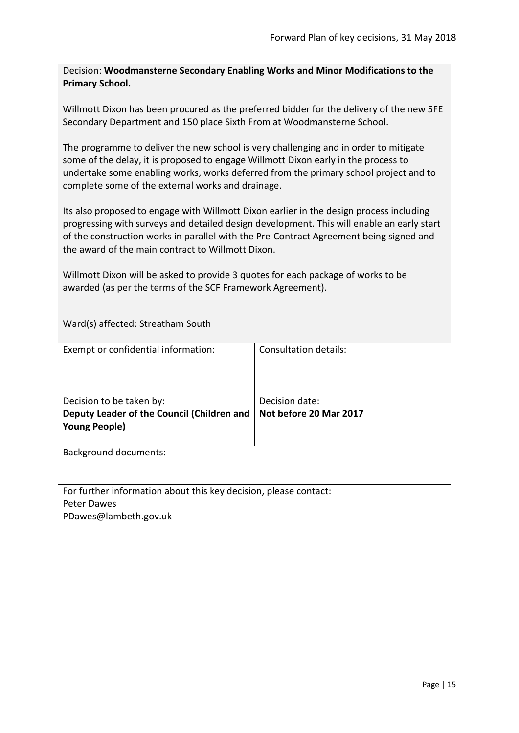<span id="page-14-0"></span>Decision: **Woodmansterne Secondary Enabling Works and Minor Modifications to the Primary School.**

Willmott Dixon has been procured as the preferred bidder for the delivery of the new 5FE Secondary Department and 150 place Sixth From at Woodmansterne School.

The programme to deliver the new school is very challenging and in order to mitigate some of the delay, it is proposed to engage Willmott Dixon early in the process to undertake some enabling works, works deferred from the primary school project and to complete some of the external works and drainage.

Its also proposed to engage with Willmott Dixon earlier in the design process including progressing with surveys and detailed design development. This will enable an early start of the construction works in parallel with the Pre-Contract Agreement being signed and the award of the main contract to Willmott Dixon.

Willmott Dixon will be asked to provide 3 quotes for each package of works to be awarded (as per the terms of the SCF Framework Agreement).

Ward(s) affected: Streatham South

| Exempt or confidential information:                              | <b>Consultation details:</b> |
|------------------------------------------------------------------|------------------------------|
|                                                                  |                              |
| Decision to be taken by:                                         | Decision date:               |
| Deputy Leader of the Council (Children and                       | Not before 20 Mar 2017       |
| <b>Young People)</b>                                             |                              |
|                                                                  |                              |
| <b>Background documents:</b>                                     |                              |
|                                                                  |                              |
|                                                                  |                              |
| For further information about this key decision, please contact: |                              |
| Peter Dawes                                                      |                              |
| PDawes@lambeth.gov.uk                                            |                              |
|                                                                  |                              |
|                                                                  |                              |
|                                                                  |                              |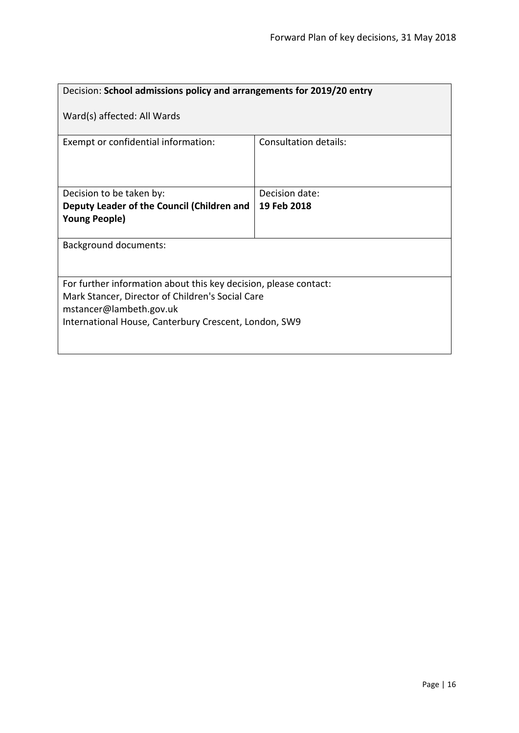<span id="page-15-0"></span>

| Decision: School admissions policy and arrangements for 2019/20 entry       |                              |  |
|-----------------------------------------------------------------------------|------------------------------|--|
| Ward(s) affected: All Wards                                                 |                              |  |
| Exempt or confidential information:                                         | <b>Consultation details:</b> |  |
| Decision to be taken by:                                                    | Decision date:               |  |
| Deputy Leader of the Council (Children and                                  | 19 Feb 2018                  |  |
| <b>Young People)</b>                                                        |                              |  |
| <b>Background documents:</b>                                                |                              |  |
| For further information about this key decision, please contact:            |                              |  |
| Mark Stancer, Director of Children's Social Care<br>mstancer@lambeth.gov.uk |                              |  |
| International House, Canterbury Crescent, London, SW9                       |                              |  |
|                                                                             |                              |  |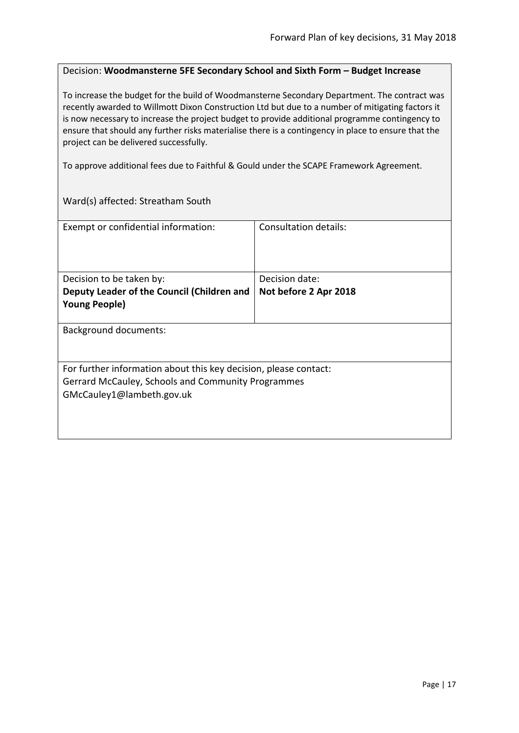#### <span id="page-16-0"></span>Decision: **Woodmansterne 5FE Secondary School and Sixth Form – Budget Increase**

To increase the budget for the build of Woodmansterne Secondary Department. The contract was recently awarded to Willmott Dixon Construction Ltd but due to a number of mitigating factors it is now necessary to increase the project budget to provide additional programme contingency to ensure that should any further risks materialise there is a contingency in place to ensure that the project can be delivered successfully.

To approve additional fees due to Faithful & Gould under the SCAPE Framework Agreement.

Ward(s) affected: Streatham South

| Exempt or confidential information:                              | Consultation details: |
|------------------------------------------------------------------|-----------------------|
| Decision to be taken by:                                         | Decision date:        |
| Deputy Leader of the Council (Children and                       | Not before 2 Apr 2018 |
| <b>Young People)</b>                                             |                       |
| Background documents:                                            |                       |
| For further information about this key decision, please contact: |                       |
| Gerrard McCauley, Schools and Community Programmes               |                       |
| GMcCauley1@lambeth.gov.uk                                        |                       |
|                                                                  |                       |
|                                                                  |                       |
|                                                                  |                       |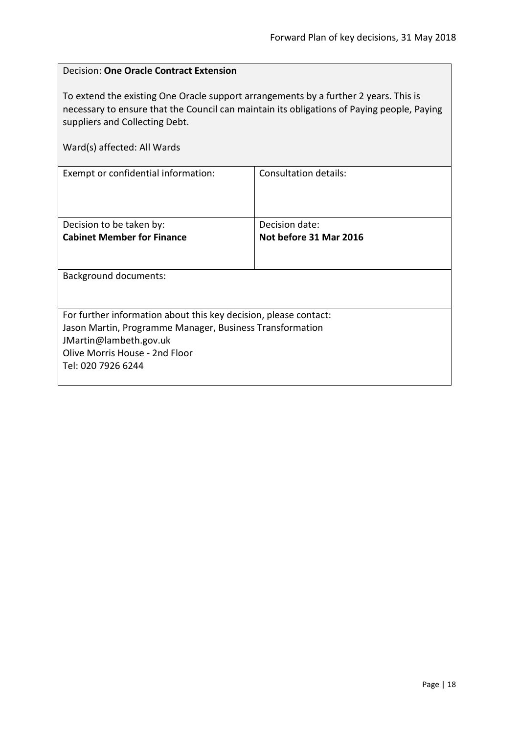<span id="page-17-0"></span>

| <b>Decision: One Oracle Contract Extension</b>                                                                                                                                                                                                      |                        |  |
|-----------------------------------------------------------------------------------------------------------------------------------------------------------------------------------------------------------------------------------------------------|------------------------|--|
| To extend the existing One Oracle support arrangements by a further 2 years. This is<br>necessary to ensure that the Council can maintain its obligations of Paying people, Paying<br>suppliers and Collecting Debt.<br>Ward(s) affected: All Wards |                        |  |
| Exempt or confidential information:                                                                                                                                                                                                                 | Consultation details:  |  |
|                                                                                                                                                                                                                                                     |                        |  |
| Decision to be taken by:                                                                                                                                                                                                                            | Decision date:         |  |
| <b>Cabinet Member for Finance</b>                                                                                                                                                                                                                   | Not before 31 Mar 2016 |  |
| Background documents:                                                                                                                                                                                                                               |                        |  |
| For further information about this key decision, please contact:                                                                                                                                                                                    |                        |  |
| Jason Martin, Programme Manager, Business Transformation                                                                                                                                                                                            |                        |  |
| JMartin@lambeth.gov.uk<br>Olive Morris House - 2nd Floor                                                                                                                                                                                            |                        |  |
| Tel: 020 7926 6244                                                                                                                                                                                                                                  |                        |  |
|                                                                                                                                                                                                                                                     |                        |  |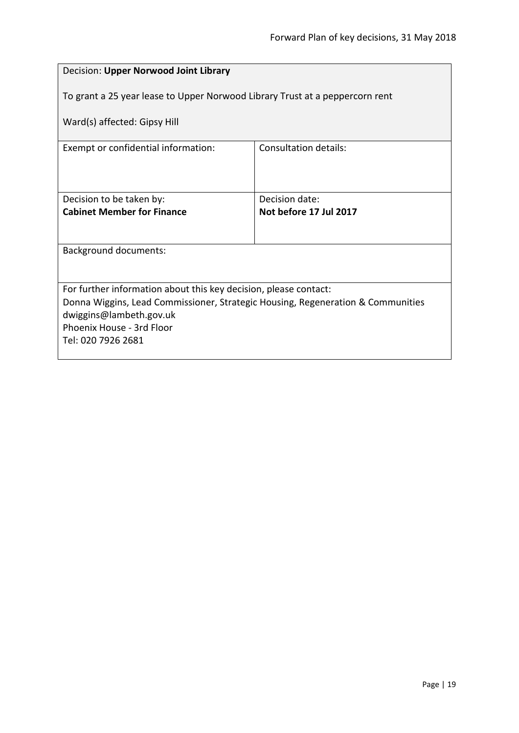<span id="page-18-0"></span>

| Decision: Upper Norwood Joint Library                                                                      |                        |  |
|------------------------------------------------------------------------------------------------------------|------------------------|--|
| To grant a 25 year lease to Upper Norwood Library Trust at a peppercorn rent                               |                        |  |
| Ward(s) affected: Gipsy Hill                                                                               |                        |  |
| Exempt or confidential information:                                                                        | Consultation details:  |  |
|                                                                                                            |                        |  |
| Decision to be taken by:                                                                                   | Decision date:         |  |
| <b>Cabinet Member for Finance</b>                                                                          | Not before 17 Jul 2017 |  |
| <b>Background documents:</b>                                                                               |                        |  |
|                                                                                                            |                        |  |
| For further information about this key decision, please contact:                                           |                        |  |
| Donna Wiggins, Lead Commissioner, Strategic Housing, Regeneration & Communities<br>dwiggins@lambeth.gov.uk |                        |  |
| Phoenix House - 3rd Floor                                                                                  |                        |  |
| Tel: 020 7926 2681                                                                                         |                        |  |
|                                                                                                            |                        |  |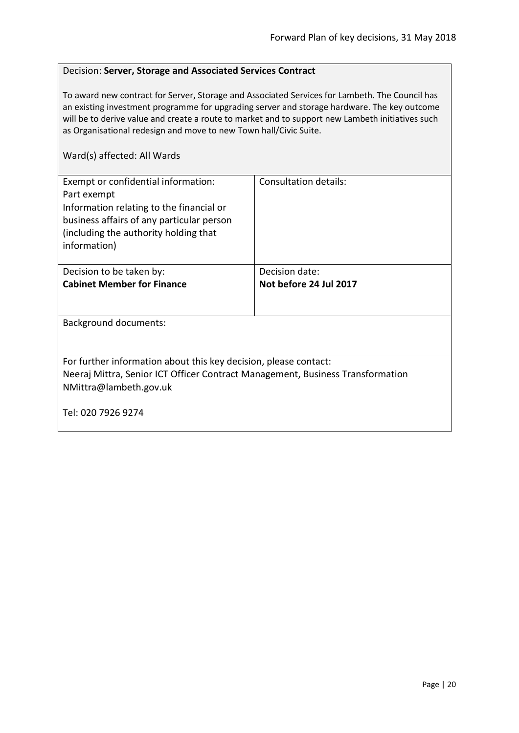#### <span id="page-19-0"></span>Decision: **Server, Storage and Associated Services Contract**

To award new contract for Server, Storage and Associated Services for Lambeth. The Council has an existing investment programme for upgrading server and storage hardware. The key outcome will be to derive value and create a route to market and to support new Lambeth initiatives such as Organisational redesign and move to new Town hall/Civic Suite.

| Exempt or confidential information:<br>Part exempt<br>Information relating to the financial or<br>business affairs of any particular person<br>(including the authority holding that<br>information) | Consultation details:  |
|------------------------------------------------------------------------------------------------------------------------------------------------------------------------------------------------------|------------------------|
| Decision to be taken by:                                                                                                                                                                             | Decision date:         |
| <b>Cabinet Member for Finance</b>                                                                                                                                                                    | Not before 24 Jul 2017 |
|                                                                                                                                                                                                      |                        |
| <b>Background documents:</b>                                                                                                                                                                         |                        |
|                                                                                                                                                                                                      |                        |
| For further information about this key decision, please contact:                                                                                                                                     |                        |
| Neeraj Mittra, Senior ICT Officer Contract Management, Business Transformation                                                                                                                       |                        |
| NMittra@lambeth.gov.uk                                                                                                                                                                               |                        |
| Tel: 020 7926 9274                                                                                                                                                                                   |                        |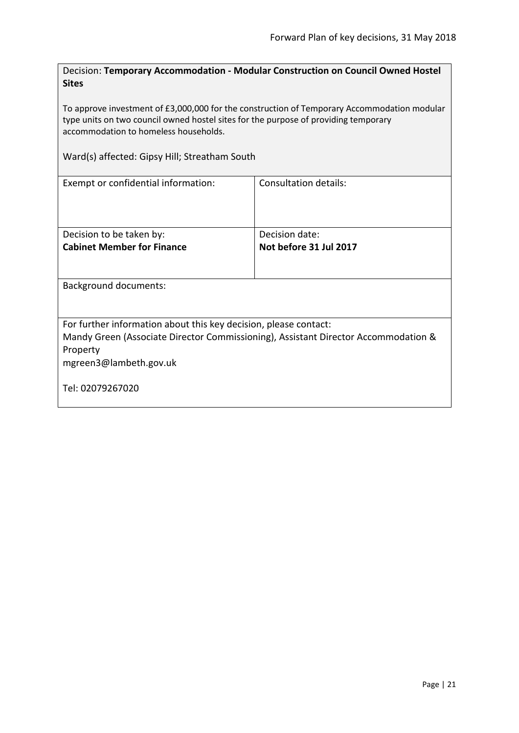<span id="page-20-0"></span>Decision: **Temporary Accommodation - Modular Construction on Council Owned Hostel Sites**

To approve investment of £3,000,000 for the construction of Temporary Accommodation modular type units on two council owned hostel sites for the purpose of providing temporary accommodation to homeless households.

Ward(s) affected: Gipsy Hill; Streatham South

| Exempt or confidential information:                                                | Consultation details:  |  |
|------------------------------------------------------------------------------------|------------------------|--|
| Decision to be taken by:                                                           | Decision date:         |  |
| <b>Cabinet Member for Finance</b>                                                  | Not before 31 Jul 2017 |  |
|                                                                                    |                        |  |
| <b>Background documents:</b>                                                       |                        |  |
| For further information about this key decision, please contact:                   |                        |  |
| Mandy Green (Associate Director Commissioning), Assistant Director Accommodation & |                        |  |
| Property                                                                           |                        |  |
| mgreen3@lambeth.gov.uk                                                             |                        |  |
| Tel: 02079267020                                                                   |                        |  |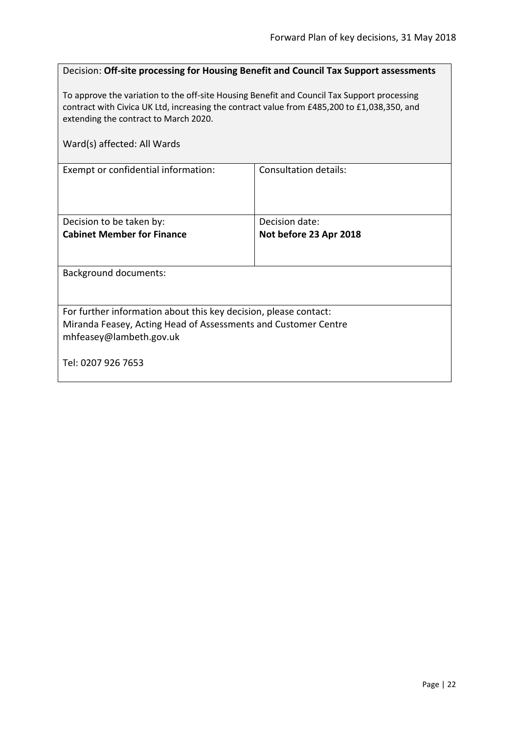<span id="page-21-0"></span>

| Decision: Off-site processing for Housing Benefit and Council Tax Support assessments |  |
|---------------------------------------------------------------------------------------|--|
|---------------------------------------------------------------------------------------|--|

To approve the variation to the off-site Housing Benefit and Council Tax Support processing contract with Civica UK Ltd, increasing the contract value from £485,200 to £1,038,350, and extending the contract to March 2020.

| Ward(s) affected: All Wards                                                                                                        |                              |  |
|------------------------------------------------------------------------------------------------------------------------------------|------------------------------|--|
| Exempt or confidential information:                                                                                                | <b>Consultation details:</b> |  |
| Decision to be taken by:                                                                                                           | Decision date:               |  |
| <b>Cabinet Member for Finance</b>                                                                                                  | Not before 23 Apr 2018       |  |
| <b>Background documents:</b>                                                                                                       |                              |  |
| For further information about this key decision, please contact:<br>Miranda Feasey, Acting Head of Assessments and Customer Centre |                              |  |
| mhfeasey@lambeth.gov.uk<br>Tel: 0207 926 7653                                                                                      |                              |  |
|                                                                                                                                    |                              |  |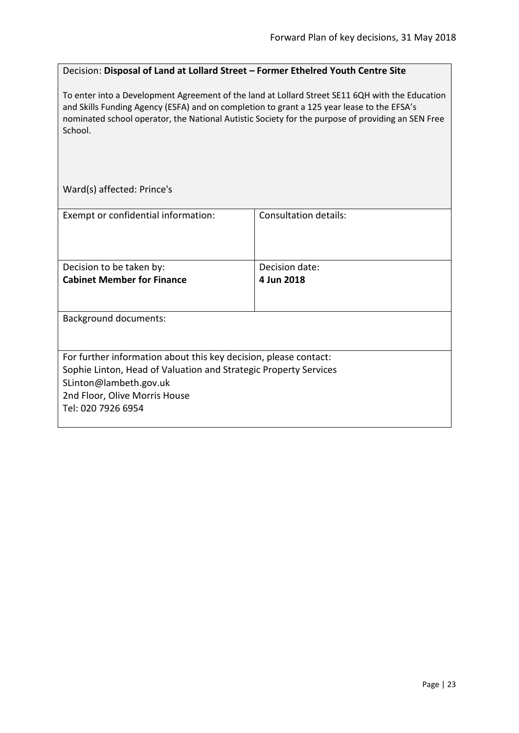# <span id="page-22-0"></span>Decision: **Disposal of Land at Lollard Street – Former Ethelred Youth Centre Site**

To enter into a Development Agreement of the land at Lollard Street SE11 6QH with the Education and Skills Funding Agency (ESFA) and on completion to grant a 125 year lease to the EFSA's nominated school operator, the National Autistic Society for the purpose of providing an SEN Free School.

Ward(s) affected: Prince's

| Exempt or confidential information:                                                                                                                                                                                   | Consultation details: |
|-----------------------------------------------------------------------------------------------------------------------------------------------------------------------------------------------------------------------|-----------------------|
| Decision to be taken by:                                                                                                                                                                                              | Decision date:        |
| <b>Cabinet Member for Finance</b>                                                                                                                                                                                     | 4 Jun 2018            |
|                                                                                                                                                                                                                       |                       |
| <b>Background documents:</b>                                                                                                                                                                                          |                       |
| For further information about this key decision, please contact:<br>Sophie Linton, Head of Valuation and Strategic Property Services<br>SLinton@lambeth.gov.uk<br>2nd Floor, Olive Morris House<br>Tel: 020 7926 6954 |                       |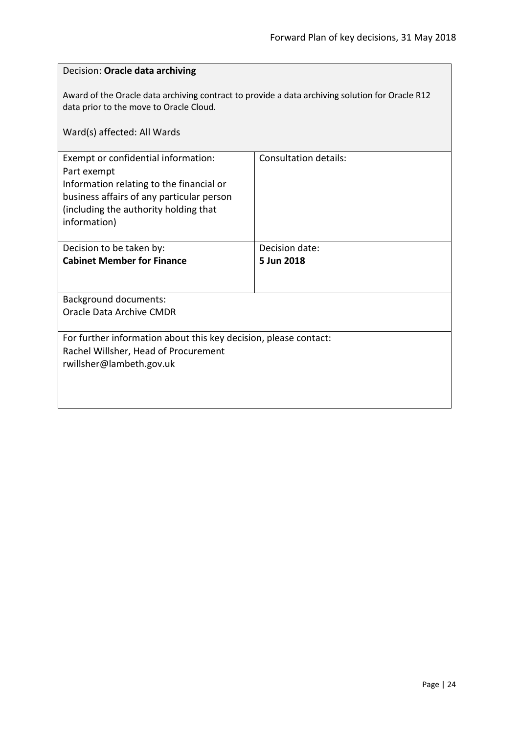<span id="page-23-0"></span>

| Decision: Oracle data archiving                                                                                                                                                                      |                       |  |
|------------------------------------------------------------------------------------------------------------------------------------------------------------------------------------------------------|-----------------------|--|
| Award of the Oracle data archiving contract to provide a data archiving solution for Oracle R12<br>data prior to the move to Oracle Cloud.<br>Ward(s) affected: All Wards                            |                       |  |
|                                                                                                                                                                                                      |                       |  |
| Exempt or confidential information:<br>Part exempt<br>Information relating to the financial or<br>business affairs of any particular person<br>(including the authority holding that<br>information) | Consultation details: |  |
| Decision to be taken by:                                                                                                                                                                             | Decision date:        |  |
| <b>Cabinet Member for Finance</b>                                                                                                                                                                    | 5 Jun 2018            |  |
|                                                                                                                                                                                                      |                       |  |
| <b>Background documents:</b>                                                                                                                                                                         |                       |  |
| Oracle Data Archive CMDR                                                                                                                                                                             |                       |  |
| For further information about this key decision, please contact:<br>Rachel Willsher, Head of Procurement                                                                                             |                       |  |
| rwillsher@lambeth.gov.uk                                                                                                                                                                             |                       |  |
|                                                                                                                                                                                                      |                       |  |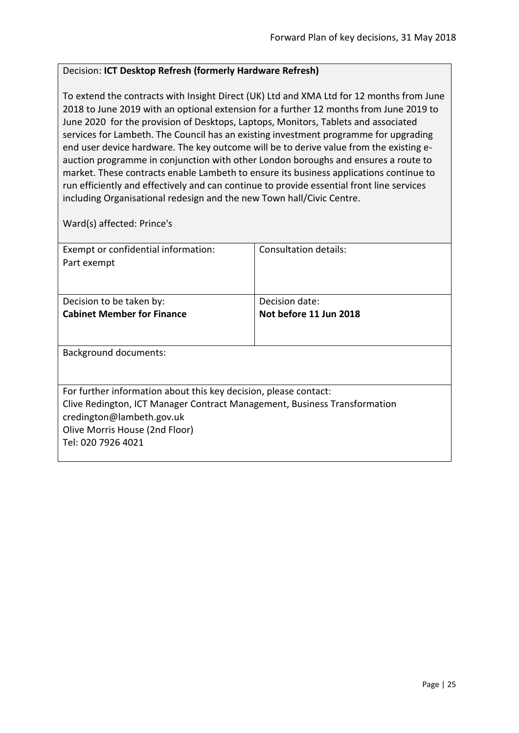### <span id="page-24-0"></span>Decision: **ICT Desktop Refresh (formerly Hardware Refresh)**

To extend the contracts with Insight Direct (UK) Ltd and XMA Ltd for 12 months from June 2018 to June 2019 with an optional extension for a further 12 months from June 2019 to June 2020 for the provision of Desktops, Laptops, Monitors, Tablets and associated services for Lambeth. The Council has an existing investment programme for upgrading end user device hardware. The key outcome will be to derive value from the existing eauction programme in conjunction with other London boroughs and ensures a route to market. These contracts enable Lambeth to ensure its business applications continue to run efficiently and effectively and can continue to provide essential front line services including Organisational redesign and the new Town hall/Civic Centre.

Ward(s) affected: Prince's

| Exempt or confidential information:                                       | Consultation details:  |
|---------------------------------------------------------------------------|------------------------|
| Part exempt                                                               |                        |
|                                                                           |                        |
|                                                                           |                        |
| Decision to be taken by:                                                  | Decision date:         |
| <b>Cabinet Member for Finance</b>                                         | Not before 11 Jun 2018 |
|                                                                           |                        |
|                                                                           |                        |
| Background documents:                                                     |                        |
|                                                                           |                        |
|                                                                           |                        |
| For further information about this key decision, please contact:          |                        |
| Clive Redington, ICT Manager Contract Management, Business Transformation |                        |
| credington@lambeth.gov.uk                                                 |                        |
| Olive Morris House (2nd Floor)                                            |                        |
| Tel: 020 7926 4021                                                        |                        |
|                                                                           |                        |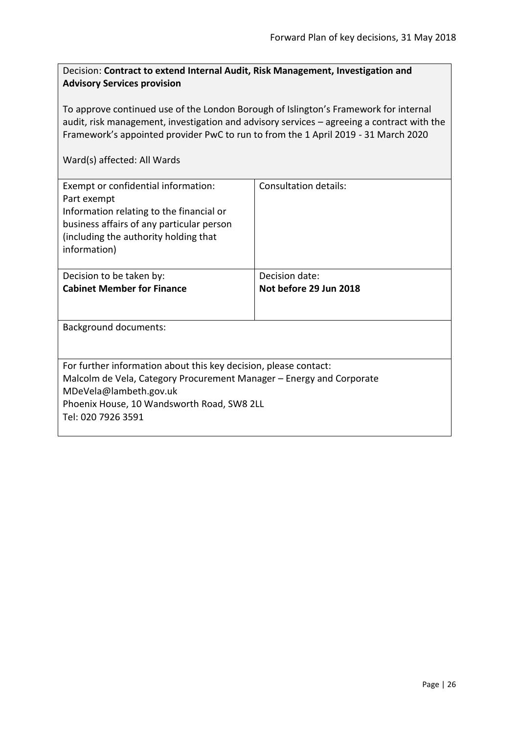# <span id="page-25-0"></span>Decision: **Contract to extend Internal Audit, Risk Management, Investigation and Advisory Services provision**

To approve continued use of the London Borough of Islington's Framework for internal audit, risk management, investigation and advisory services – agreeing a contract with the Framework's appointed provider PwC to run to from the 1 April 2019 - 31 March 2020

| Exempt or confidential information:<br>Part exempt<br>Information relating to the financial or<br>business affairs of any particular person<br>(including the authority holding that<br>information)                                   | Consultation details:                    |
|----------------------------------------------------------------------------------------------------------------------------------------------------------------------------------------------------------------------------------------|------------------------------------------|
| Decision to be taken by:<br><b>Cabinet Member for Finance</b>                                                                                                                                                                          | Decision date:<br>Not before 29 Jun 2018 |
| Background documents:                                                                                                                                                                                                                  |                                          |
| For further information about this key decision, please contact:<br>Malcolm de Vela, Category Procurement Manager – Energy and Corporate<br>MDeVela@lambeth.gov.uk<br>Phoenix House, 10 Wandsworth Road, SW8 2LL<br>Tel: 020 7926 3591 |                                          |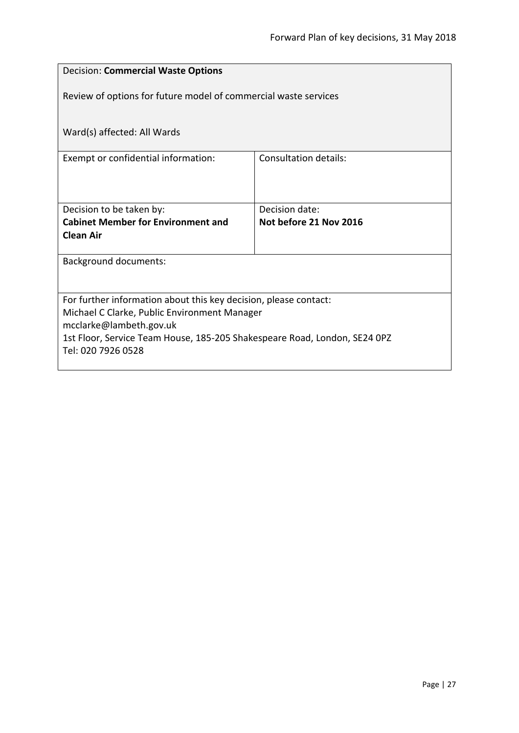<span id="page-26-0"></span>

| <b>Decision: Commercial Waste Options</b>                                                                                                                                                                                                      |                              |  |
|------------------------------------------------------------------------------------------------------------------------------------------------------------------------------------------------------------------------------------------------|------------------------------|--|
| Review of options for future model of commercial waste services                                                                                                                                                                                |                              |  |
| Ward(s) affected: All Wards                                                                                                                                                                                                                    |                              |  |
| Exempt or confidential information:                                                                                                                                                                                                            | <b>Consultation details:</b> |  |
|                                                                                                                                                                                                                                                |                              |  |
| Decision to be taken by:                                                                                                                                                                                                                       | Decision date:               |  |
| <b>Cabinet Member for Environment and</b><br><b>Clean Air</b>                                                                                                                                                                                  | Not before 21 Nov 2016       |  |
| <b>Background documents:</b>                                                                                                                                                                                                                   |                              |  |
| For further information about this key decision, please contact:<br>Michael C Clarke, Public Environment Manager<br>mcclarke@lambeth.gov.uk<br>1st Floor, Service Team House, 185-205 Shakespeare Road, London, SE24 0PZ<br>Tel: 020 7926 0528 |                              |  |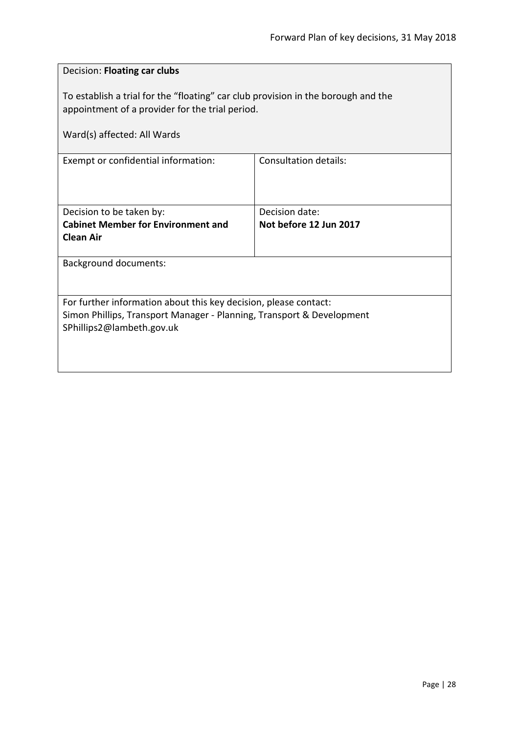<span id="page-27-0"></span>

| Decision: Floating car clubs                                                                                                                                           |                        |  |
|------------------------------------------------------------------------------------------------------------------------------------------------------------------------|------------------------|--|
| To establish a trial for the "floating" car club provision in the borough and the<br>appointment of a provider for the trial period.                                   |                        |  |
| Ward(s) affected: All Wards                                                                                                                                            |                        |  |
| Exempt or confidential information:                                                                                                                                    | Consultation details:  |  |
| Decision to be taken by:                                                                                                                                               | Decision date:         |  |
| <b>Cabinet Member for Environment and</b><br><b>Clean Air</b>                                                                                                          | Not before 12 Jun 2017 |  |
| <b>Background documents:</b>                                                                                                                                           |                        |  |
| For further information about this key decision, please contact:<br>Simon Phillips, Transport Manager - Planning, Transport & Development<br>SPhillips2@lambeth.gov.uk |                        |  |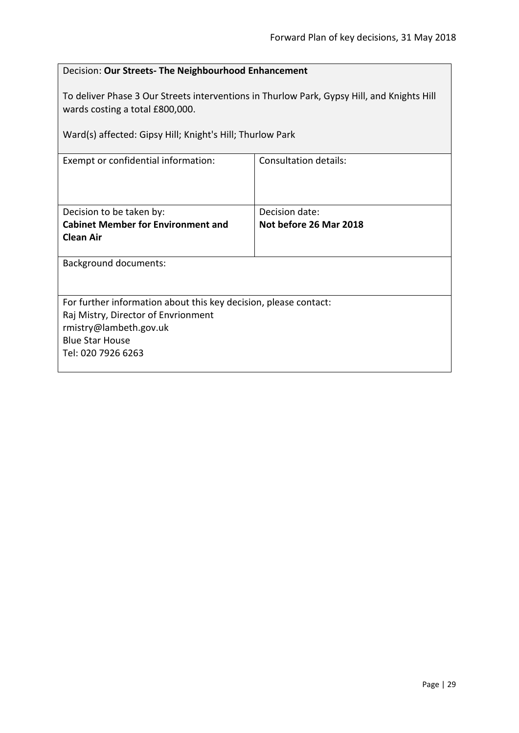<span id="page-28-0"></span>

| Decision: Our Streets- The Neighbourhood Enhancement                                                                          |                              |  |
|-------------------------------------------------------------------------------------------------------------------------------|------------------------------|--|
| To deliver Phase 3 Our Streets interventions in Thurlow Park, Gypsy Hill, and Knights Hill<br>wards costing a total £800,000. |                              |  |
| Ward(s) affected: Gipsy Hill; Knight's Hill; Thurlow Park                                                                     |                              |  |
| Exempt or confidential information:                                                                                           | <b>Consultation details:</b> |  |
|                                                                                                                               |                              |  |
| Decision to be taken by:                                                                                                      | Decision date:               |  |
| <b>Cabinet Member for Environment and</b><br><b>Clean Air</b>                                                                 | Not before 26 Mar 2018       |  |
| <b>Background documents:</b>                                                                                                  |                              |  |
| For further information about this key decision, please contact:                                                              |                              |  |
| Raj Mistry, Director of Envrionment<br>rmistry@lambeth.gov.uk                                                                 |                              |  |
| <b>Blue Star House</b>                                                                                                        |                              |  |
| Tel: 020 7926 6263                                                                                                            |                              |  |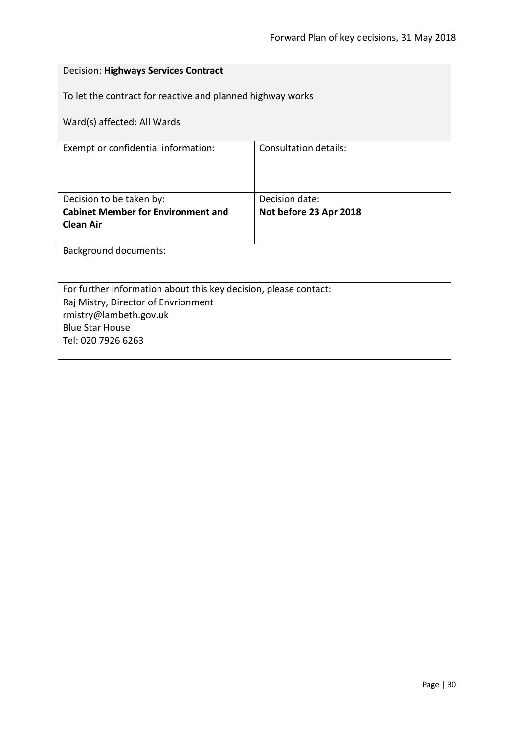<span id="page-29-0"></span>

| <b>Decision: Highways Services Contract</b>                      |                              |  |
|------------------------------------------------------------------|------------------------------|--|
| To let the contract for reactive and planned highway works       |                              |  |
| Ward(s) affected: All Wards                                      |                              |  |
| Exempt or confidential information:                              | <b>Consultation details:</b> |  |
|                                                                  |                              |  |
| Decision to be taken by:                                         | Decision date:               |  |
| <b>Cabinet Member for Environment and</b><br><b>Clean Air</b>    | Not before 23 Apr 2018       |  |
|                                                                  |                              |  |
| <b>Background documents:</b>                                     |                              |  |
|                                                                  |                              |  |
| For further information about this key decision, please contact: |                              |  |
| Raj Mistry, Director of Envrionment                              |                              |  |
| rmistry@lambeth.gov.uk<br><b>Blue Star House</b>                 |                              |  |
| Tel: 020 7926 6263                                               |                              |  |
|                                                                  |                              |  |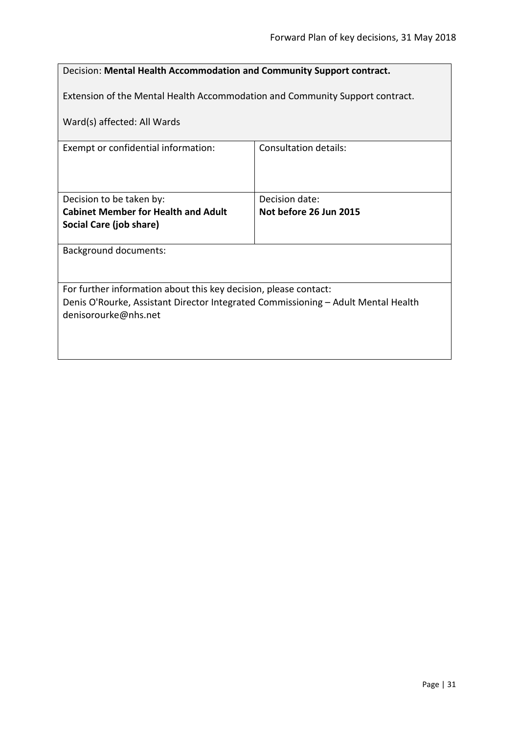<span id="page-30-0"></span>

| Decision: Mental Health Accommodation and Community Support contract.                                     |                        |  |
|-----------------------------------------------------------------------------------------------------------|------------------------|--|
| Extension of the Mental Health Accommodation and Community Support contract.                              |                        |  |
| Ward(s) affected: All Wards                                                                               |                        |  |
| Exempt or confidential information:                                                                       | Consultation details:  |  |
|                                                                                                           |                        |  |
| Decision to be taken by:                                                                                  | Decision date:         |  |
| <b>Cabinet Member for Health and Adult</b>                                                                | Not before 26 Jun 2015 |  |
| Social Care (job share)                                                                                   |                        |  |
| <b>Background documents:</b>                                                                              |                        |  |
|                                                                                                           |                        |  |
| For further information about this key decision, please contact:                                          |                        |  |
| Denis O'Rourke, Assistant Director Integrated Commissioning - Adult Mental Health<br>denisorourke@nhs.net |                        |  |
|                                                                                                           |                        |  |
|                                                                                                           |                        |  |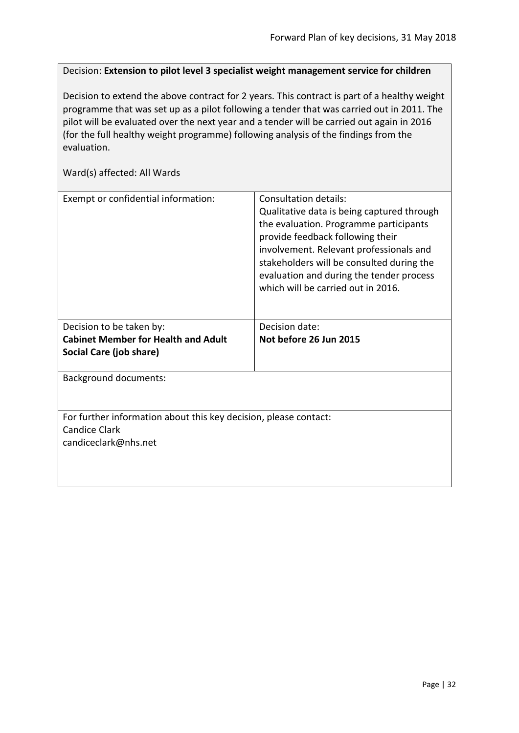<span id="page-31-0"></span>Decision: **Extension to pilot level 3 specialist weight management service for children**

Decision to extend the above contract for 2 years. This contract is part of a healthy weight programme that was set up as a pilot following a tender that was carried out in 2011. The pilot will be evaluated over the next year and a tender will be carried out again in 2016 (for the full healthy weight programme) following analysis of the findings from the evaluation.

| Exempt or confidential information:                                                                              | Consultation details:<br>Qualitative data is being captured through<br>the evaluation. Programme participants<br>provide feedback following their<br>involvement. Relevant professionals and<br>stakeholders will be consulted during the<br>evaluation and during the tender process<br>which will be carried out in 2016. |  |
|------------------------------------------------------------------------------------------------------------------|-----------------------------------------------------------------------------------------------------------------------------------------------------------------------------------------------------------------------------------------------------------------------------------------------------------------------------|--|
| Decision to be taken by:<br><b>Cabinet Member for Health and Adult</b><br>Social Care (job share)                | Decision date:<br>Not before 26 Jun 2015                                                                                                                                                                                                                                                                                    |  |
| <b>Background documents:</b>                                                                                     |                                                                                                                                                                                                                                                                                                                             |  |
| For further information about this key decision, please contact:<br><b>Candice Clark</b><br>candiceclark@nhs.net |                                                                                                                                                                                                                                                                                                                             |  |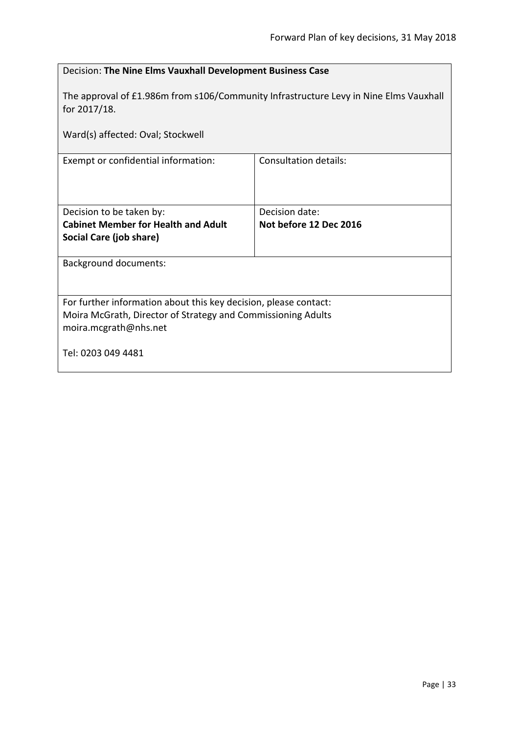<span id="page-32-0"></span>

| Decision: The Nine Elms Vauxhall Development Business Case                                            |                              |  |
|-------------------------------------------------------------------------------------------------------|------------------------------|--|
| The approval of £1.986m from s106/Community Infrastructure Levy in Nine Elms Vauxhall<br>for 2017/18. |                              |  |
| Ward(s) affected: Oval; Stockwell                                                                     |                              |  |
| Exempt or confidential information:                                                                   | <b>Consultation details:</b> |  |
|                                                                                                       |                              |  |
| Decision to be taken by:                                                                              | Decision date:               |  |
| <b>Cabinet Member for Health and Adult</b>                                                            | Not before 12 Dec 2016       |  |
| Social Care (job share)                                                                               |                              |  |
| <b>Background documents:</b>                                                                          |                              |  |
|                                                                                                       |                              |  |
| For further information about this key decision, please contact:                                      |                              |  |
| Moira McGrath, Director of Strategy and Commissioning Adults                                          |                              |  |
| moira.mcgrath@nhs.net                                                                                 |                              |  |
| Tel: 0203 049 4481                                                                                    |                              |  |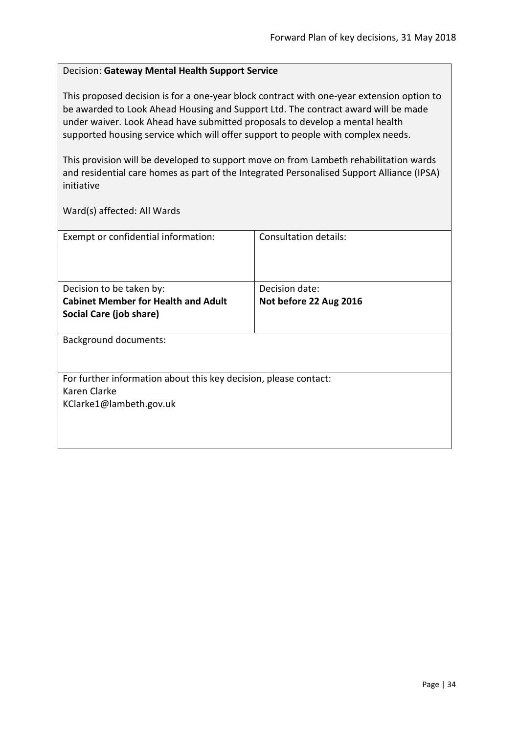# <span id="page-33-0"></span>Decision: **Gateway Mental Health Support Service**

This proposed decision is for a one-year block contract with one-year extension option to be awarded to Look Ahead Housing and Support Ltd. The contract award will be made under waiver. Look Ahead have submitted proposals to develop a mental health supported housing service which will offer support to people with complex needs.

This provision will be developed to support move on from Lambeth rehabilitation wards and residential care homes as part of the Integrated Personalised Support Alliance (IPSA) initiative

| Exempt or confidential information:                              | Consultation details:  |  |
|------------------------------------------------------------------|------------------------|--|
|                                                                  |                        |  |
| Decision to be taken by:                                         | Decision date:         |  |
| <b>Cabinet Member for Health and Adult</b>                       | Not before 22 Aug 2016 |  |
| Social Care (job share)                                          |                        |  |
|                                                                  |                        |  |
| <b>Background documents:</b>                                     |                        |  |
|                                                                  |                        |  |
|                                                                  |                        |  |
| For further information about this key decision, please contact: |                        |  |
| Karen Clarke                                                     |                        |  |
| KClarke1@lambeth.gov.uk                                          |                        |  |
|                                                                  |                        |  |
|                                                                  |                        |  |
|                                                                  |                        |  |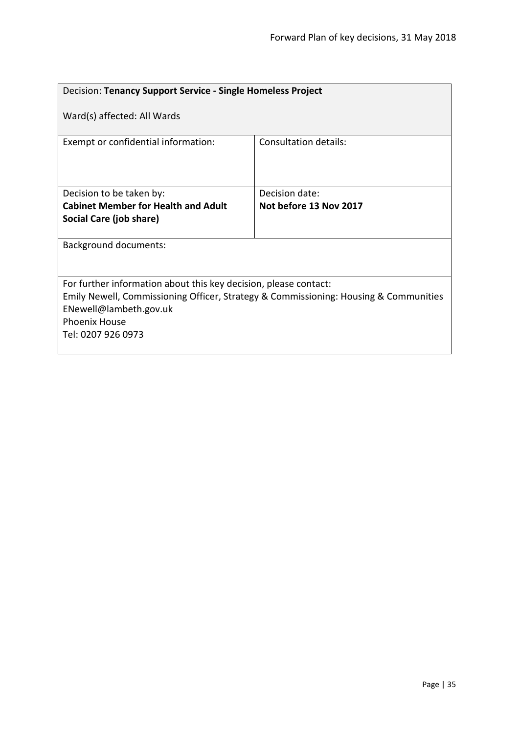<span id="page-34-0"></span>

| Decision: Tenancy Support Service - Single Homeless Project                                                                                                                                                                      |                        |  |
|----------------------------------------------------------------------------------------------------------------------------------------------------------------------------------------------------------------------------------|------------------------|--|
| Ward(s) affected: All Wards                                                                                                                                                                                                      |                        |  |
| Exempt or confidential information:                                                                                                                                                                                              | Consultation details:  |  |
| Decision to be taken by:                                                                                                                                                                                                         | Decision date:         |  |
| <b>Cabinet Member for Health and Adult</b>                                                                                                                                                                                       | Not before 13 Nov 2017 |  |
| Social Care (job share)                                                                                                                                                                                                          |                        |  |
| <b>Background documents:</b>                                                                                                                                                                                                     |                        |  |
| For further information about this key decision, please contact:<br>Emily Newell, Commissioning Officer, Strategy & Commissioning: Housing & Communities<br>ENewell@lambeth.gov.uk<br><b>Phoenix House</b><br>Tel: 0207 926 0973 |                        |  |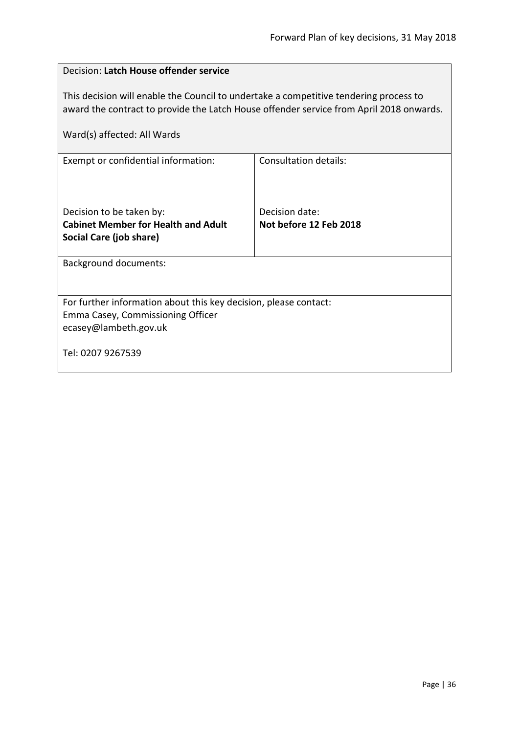<span id="page-35-0"></span>

| Decision: Latch House offender service                                                                                                                                           |                        |  |
|----------------------------------------------------------------------------------------------------------------------------------------------------------------------------------|------------------------|--|
| This decision will enable the Council to undertake a competitive tendering process to<br>award the contract to provide the Latch House offender service from April 2018 onwards. |                        |  |
| Ward(s) affected: All Wards                                                                                                                                                      |                        |  |
| <b>Consultation details:</b><br>Exempt or confidential information:                                                                                                              |                        |  |
|                                                                                                                                                                                  |                        |  |
| Decision to be taken by:                                                                                                                                                         | Decision date:         |  |
| <b>Cabinet Member for Health and Adult</b>                                                                                                                                       | Not before 12 Feb 2018 |  |
| Social Care (job share)                                                                                                                                                          |                        |  |
| <b>Background documents:</b>                                                                                                                                                     |                        |  |
|                                                                                                                                                                                  |                        |  |
| For further information about this key decision, please contact:                                                                                                                 |                        |  |
| Emma Casey, Commissioning Officer                                                                                                                                                |                        |  |
| ecasey@lambeth.gov.uk                                                                                                                                                            |                        |  |
| Tel: 0207 9267539                                                                                                                                                                |                        |  |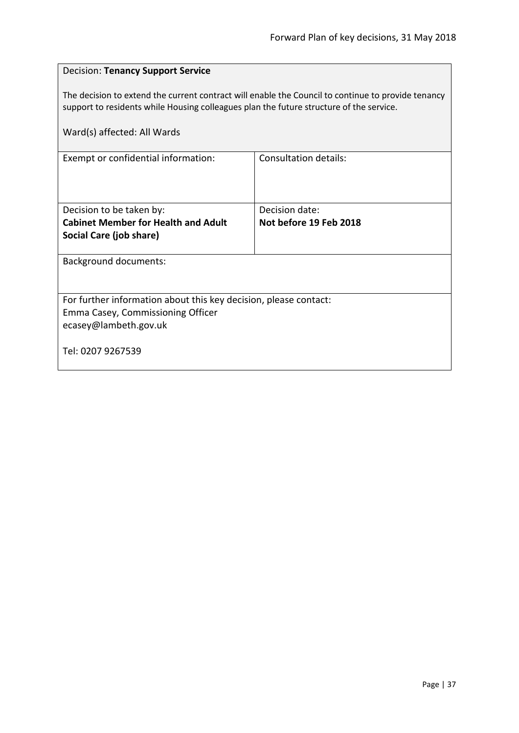<span id="page-36-0"></span>

| <b>Decision: Tenancy Support Service</b>                                                                                                                                                      |                                          |  |
|-----------------------------------------------------------------------------------------------------------------------------------------------------------------------------------------------|------------------------------------------|--|
| The decision to extend the current contract will enable the Council to continue to provide tenancy<br>support to residents while Housing colleagues plan the future structure of the service. |                                          |  |
| Ward(s) affected: All Wards                                                                                                                                                                   |                                          |  |
| Exempt or confidential information:                                                                                                                                                           | Consultation details:                    |  |
| Decision to be taken by:<br><b>Cabinet Member for Health and Adult</b>                                                                                                                        | Decision date:<br>Not before 19 Feb 2018 |  |
| Social Care (job share)                                                                                                                                                                       |                                          |  |
| <b>Background documents:</b>                                                                                                                                                                  |                                          |  |
| For further information about this key decision, please contact:                                                                                                                              |                                          |  |
| Emma Casey, Commissioning Officer<br>ecasey@lambeth.gov.uk                                                                                                                                    |                                          |  |
| Tel: 0207 9267539                                                                                                                                                                             |                                          |  |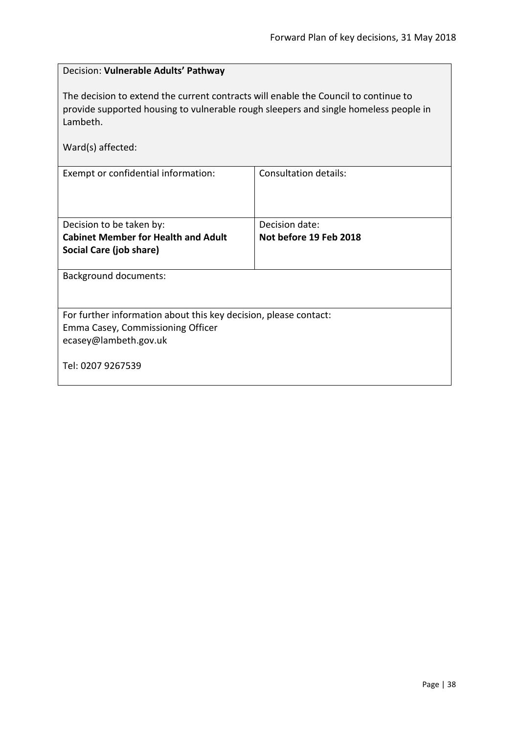<span id="page-37-0"></span>

| Decision: Vulnerable Adults' Pathway                                                                                                                                                                         |                        |  |
|--------------------------------------------------------------------------------------------------------------------------------------------------------------------------------------------------------------|------------------------|--|
| The decision to extend the current contracts will enable the Council to continue to<br>provide supported housing to vulnerable rough sleepers and single homeless people in<br>Lambeth.<br>Ward(s) affected: |                        |  |
| <b>Consultation details:</b><br>Exempt or confidential information:                                                                                                                                          |                        |  |
|                                                                                                                                                                                                              |                        |  |
| Decision to be taken by:                                                                                                                                                                                     | Decision date:         |  |
| <b>Cabinet Member for Health and Adult</b>                                                                                                                                                                   | Not before 19 Feb 2018 |  |
| Social Care (job share)                                                                                                                                                                                      |                        |  |
| <b>Background documents:</b>                                                                                                                                                                                 |                        |  |
|                                                                                                                                                                                                              |                        |  |
| For further information about this key decision, please contact:                                                                                                                                             |                        |  |
| Emma Casey, Commissioning Officer                                                                                                                                                                            |                        |  |
| ecasey@lambeth.gov.uk                                                                                                                                                                                        |                        |  |
| Tel: 0207 9267539                                                                                                                                                                                            |                        |  |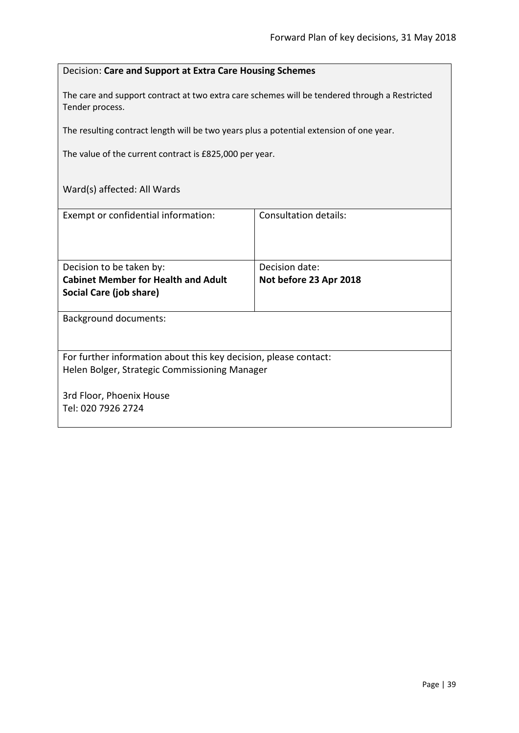## <span id="page-38-0"></span>Decision: **Care and Support at Extra Care Housing Schemes**

The care and support contract at two extra care schemes will be tendered through a Restricted Tender process.

The resulting contract length will be two years plus a potential extension of one year.

The value of the current contract is £825,000 per year.

| Exempt or confidential information:                              | Consultation details:  |  |
|------------------------------------------------------------------|------------------------|--|
|                                                                  |                        |  |
|                                                                  |                        |  |
| Decision to be taken by:                                         | Decision date:         |  |
| <b>Cabinet Member for Health and Adult</b>                       | Not before 23 Apr 2018 |  |
| Social Care (job share)                                          |                        |  |
|                                                                  |                        |  |
| <b>Background documents:</b>                                     |                        |  |
|                                                                  |                        |  |
|                                                                  |                        |  |
| For further information about this key decision, please contact: |                        |  |
| Helen Bolger, Strategic Commissioning Manager                    |                        |  |
|                                                                  |                        |  |
| 3rd Floor, Phoenix House                                         |                        |  |
| Tel: 020 7926 2724                                               |                        |  |
|                                                                  |                        |  |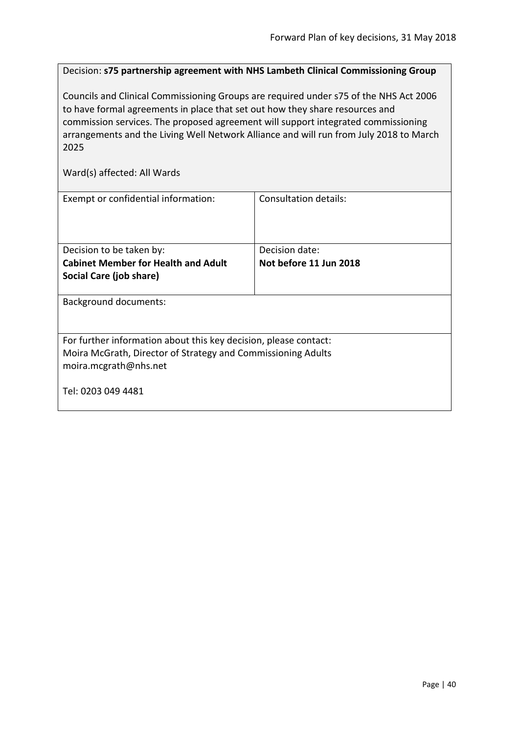<span id="page-39-0"></span>Decision: **s75 partnership agreement with NHS Lambeth Clinical Commissioning Group**

Councils and Clinical Commissioning Groups are required under s75 of the NHS Act 2006 to have formal agreements in place that set out how they share resources and commission services. The proposed agreement will support integrated commissioning arrangements and the Living Well Network Alliance and will run from July 2018 to March 2025

| Exempt or confidential information:                              | Consultation details:  |
|------------------------------------------------------------------|------------------------|
| Decision to be taken by:                                         | Decision date:         |
| <b>Cabinet Member for Health and Adult</b>                       | Not before 11 Jun 2018 |
| Social Care (job share)                                          |                        |
| <b>Background documents:</b>                                     |                        |
| For further information about this key decision, please contact: |                        |
| Moira McGrath, Director of Strategy and Commissioning Adults     |                        |
| moira.mcgrath@nhs.net                                            |                        |
| Tel: 0203 049 4481                                               |                        |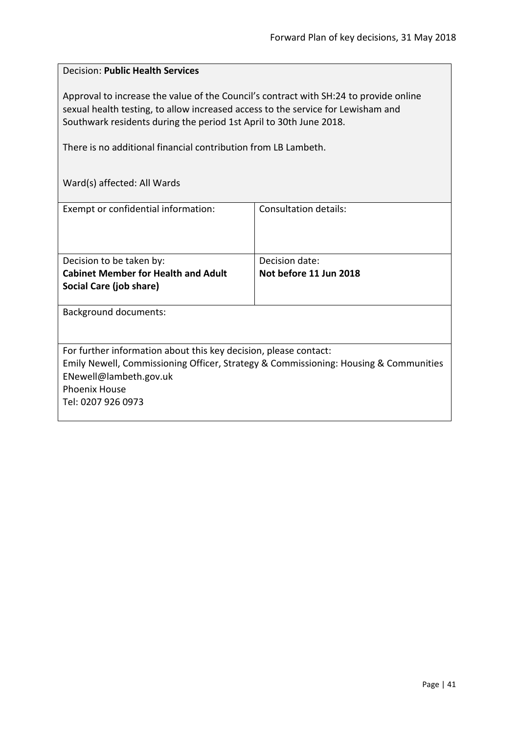# <span id="page-40-0"></span>Decision: **Public Health Services**

Approval to increase the value of the Council's contract with SH:24 to provide online sexual health testing, to allow increased access to the service for Lewisham and Southwark residents during the period 1st April to 30th June 2018.

There is no additional financial contribution from LB Lambeth.

| Exempt or confidential information:                              | Consultation details:                                                                |
|------------------------------------------------------------------|--------------------------------------------------------------------------------------|
|                                                                  |                                                                                      |
|                                                                  |                                                                                      |
|                                                                  |                                                                                      |
|                                                                  |                                                                                      |
| Decision to be taken by:                                         | Decision date:                                                                       |
| <b>Cabinet Member for Health and Adult</b>                       | Not before 11 Jun 2018                                                               |
| Social Care (job share)                                          |                                                                                      |
|                                                                  |                                                                                      |
|                                                                  |                                                                                      |
| <b>Background documents:</b>                                     |                                                                                      |
|                                                                  |                                                                                      |
|                                                                  |                                                                                      |
| For further information about this key decision, please contact: |                                                                                      |
|                                                                  |                                                                                      |
|                                                                  | Emily Newell, Commissioning Officer, Strategy & Commissioning: Housing & Communities |
| ENewell@lambeth.gov.uk                                           |                                                                                      |
| <b>Phoenix House</b>                                             |                                                                                      |
| Tel: 0207 926 0973                                               |                                                                                      |
|                                                                  |                                                                                      |
|                                                                  |                                                                                      |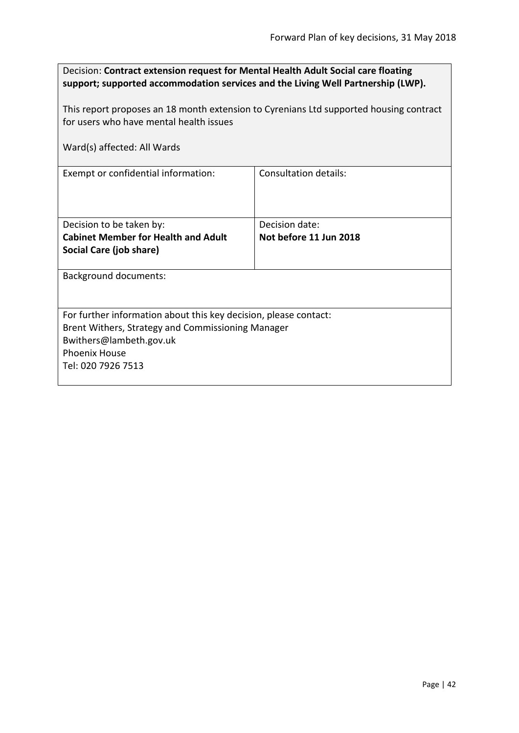<span id="page-41-0"></span>

| Decision: Contract extension request for Mental Health Adult Social care floating<br>support; supported accommodation services and the Living Well Partnership (LWP). |                              |  |
|-----------------------------------------------------------------------------------------------------------------------------------------------------------------------|------------------------------|--|
| This report proposes an 18 month extension to Cyrenians Ltd supported housing contract                                                                                |                              |  |
| for users who have mental health issues                                                                                                                               |                              |  |
| Ward(s) affected: All Wards                                                                                                                                           |                              |  |
| Exempt or confidential information:                                                                                                                                   | <b>Consultation details:</b> |  |
|                                                                                                                                                                       |                              |  |
| Decision to be taken by:                                                                                                                                              | Decision date:               |  |
| <b>Cabinet Member for Health and Adult</b>                                                                                                                            | Not before 11 Jun 2018       |  |
| Social Care (job share)                                                                                                                                               |                              |  |
| <b>Background documents:</b>                                                                                                                                          |                              |  |
|                                                                                                                                                                       |                              |  |
| For further information about this key decision, please contact:                                                                                                      |                              |  |
| Brent Withers, Strategy and Commissioning Manager                                                                                                                     |                              |  |
| Bwithers@lambeth.gov.uk                                                                                                                                               |                              |  |
| <b>Phoenix House</b>                                                                                                                                                  |                              |  |
| Tel: 020 7926 7513                                                                                                                                                    |                              |  |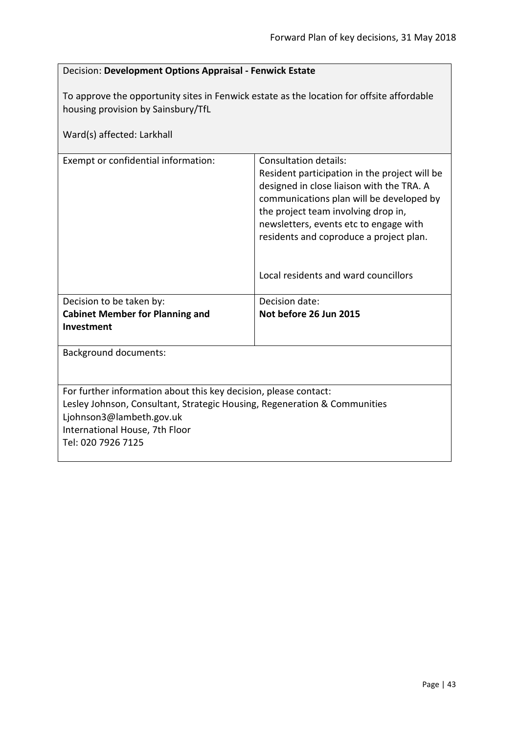<span id="page-42-0"></span>

| Decision: Development Options Appraisal - Fenwick Estate                                                                                                                                                                          |                                                                                                                                                                                                                                                                                                                                            |  |
|-----------------------------------------------------------------------------------------------------------------------------------------------------------------------------------------------------------------------------------|--------------------------------------------------------------------------------------------------------------------------------------------------------------------------------------------------------------------------------------------------------------------------------------------------------------------------------------------|--|
| To approve the opportunity sites in Fenwick estate as the location for offsite affordable<br>housing provision by Sainsbury/TfL<br>Ward(s) affected: Larkhall                                                                     |                                                                                                                                                                                                                                                                                                                                            |  |
| Exempt or confidential information:                                                                                                                                                                                               | <b>Consultation details:</b><br>Resident participation in the project will be<br>designed in close liaison with the TRA. A<br>communications plan will be developed by<br>the project team involving drop in,<br>newsletters, events etc to engage with<br>residents and coproduce a project plan.<br>Local residents and ward councillors |  |
| Decision to be taken by:                                                                                                                                                                                                          | Decision date:                                                                                                                                                                                                                                                                                                                             |  |
| <b>Cabinet Member for Planning and</b><br>Investment                                                                                                                                                                              | Not before 26 Jun 2015                                                                                                                                                                                                                                                                                                                     |  |
| <b>Background documents:</b>                                                                                                                                                                                                      |                                                                                                                                                                                                                                                                                                                                            |  |
| For further information about this key decision, please contact:<br>Lesley Johnson, Consultant, Strategic Housing, Regeneration & Communities<br>Ljohnson3@lambeth.gov.uk<br>International House, 7th Floor<br>Tel: 020 7926 7125 |                                                                                                                                                                                                                                                                                                                                            |  |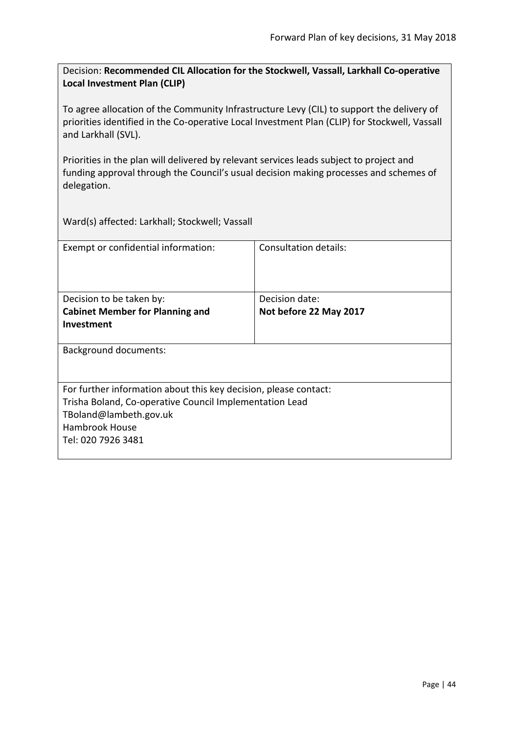<span id="page-43-0"></span>Decision: **Recommended CIL Allocation for the Stockwell, Vassall, Larkhall Co-operative Local Investment Plan (CLIP)**

To agree allocation of the Community Infrastructure Levy (CIL) to support the delivery of priorities identified in the Co-operative Local Investment Plan (CLIP) for Stockwell, Vassall and Larkhall (SVL).

Priorities in the plan will delivered by relevant services leads subject to project and funding approval through the Council's usual decision making processes and schemes of delegation.

Ward(s) affected: Larkhall; Stockwell; Vassall

| Exempt or confidential information:                              | Consultation details:  |
|------------------------------------------------------------------|------------------------|
| Decision to be taken by:                                         | Decision date:         |
| <b>Cabinet Member for Planning and</b>                           | Not before 22 May 2017 |
| <b>Investment</b>                                                |                        |
| <b>Background documents:</b>                                     |                        |
| For further information about this key decision, please contact: |                        |
| Trisha Boland, Co-operative Council Implementation Lead          |                        |
| TBoland@lambeth.gov.uk                                           |                        |
| <b>Hambrook House</b>                                            |                        |
| Tel: 020 7926 3481                                               |                        |
|                                                                  |                        |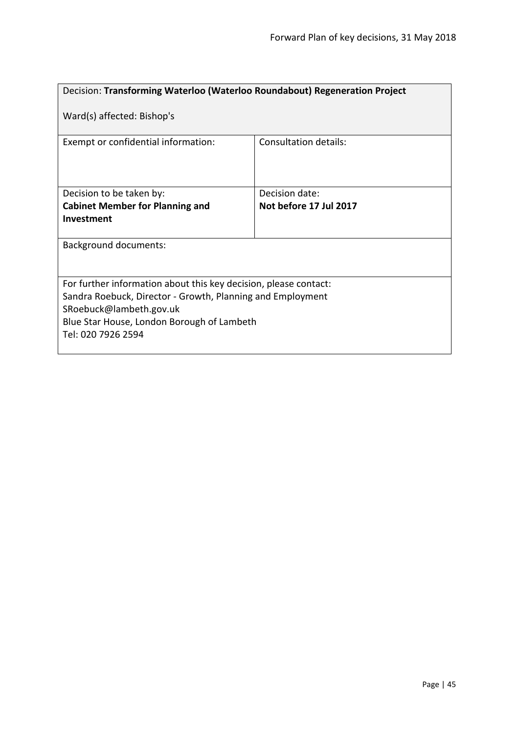<span id="page-44-0"></span>

| Decision: Transforming Waterloo (Waterloo Roundabout) Regeneration Project                                                                                                                                                    |                        |  |
|-------------------------------------------------------------------------------------------------------------------------------------------------------------------------------------------------------------------------------|------------------------|--|
| Ward(s) affected: Bishop's                                                                                                                                                                                                    |                        |  |
| Exempt or confidential information:                                                                                                                                                                                           | Consultation details:  |  |
| Decision to be taken by:                                                                                                                                                                                                      | Decision date:         |  |
| <b>Cabinet Member for Planning and</b>                                                                                                                                                                                        | Not before 17 Jul 2017 |  |
| Investment                                                                                                                                                                                                                    |                        |  |
| <b>Background documents:</b>                                                                                                                                                                                                  |                        |  |
| For further information about this key decision, please contact:<br>Sandra Roebuck, Director - Growth, Planning and Employment<br>SRoebuck@lambeth.gov.uk<br>Blue Star House, London Borough of Lambeth<br>Tel: 020 7926 2594 |                        |  |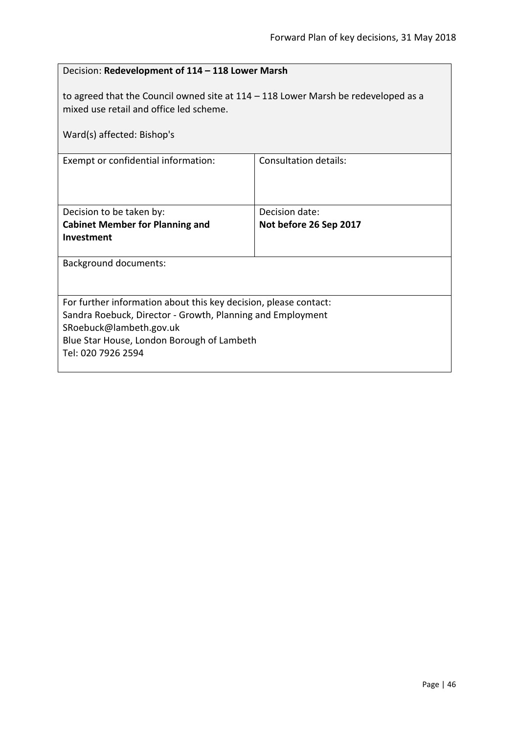<span id="page-45-0"></span>

| Decision: Redevelopment of 114 - 118 Lower Marsh                                                                                                              |                              |  |
|---------------------------------------------------------------------------------------------------------------------------------------------------------------|------------------------------|--|
| to agreed that the Council owned site at $114 - 118$ Lower Marsh be redeveloped as a<br>mixed use retail and office led scheme.<br>Ward(s) affected: Bishop's |                              |  |
| Exempt or confidential information:                                                                                                                           | <b>Consultation details:</b> |  |
|                                                                                                                                                               |                              |  |
| Decision to be taken by:                                                                                                                                      | Decision date:               |  |
| <b>Cabinet Member for Planning and</b>                                                                                                                        | Not before 26 Sep 2017       |  |
| Investment                                                                                                                                                    |                              |  |
| <b>Background documents:</b>                                                                                                                                  |                              |  |
|                                                                                                                                                               |                              |  |
| For further information about this key decision, please contact:                                                                                              |                              |  |
| Sandra Roebuck, Director - Growth, Planning and Employment                                                                                                    |                              |  |
| SRoebuck@lambeth.gov.uk                                                                                                                                       |                              |  |
| Blue Star House, London Borough of Lambeth<br>Tel: 020 7926 2594                                                                                              |                              |  |
|                                                                                                                                                               |                              |  |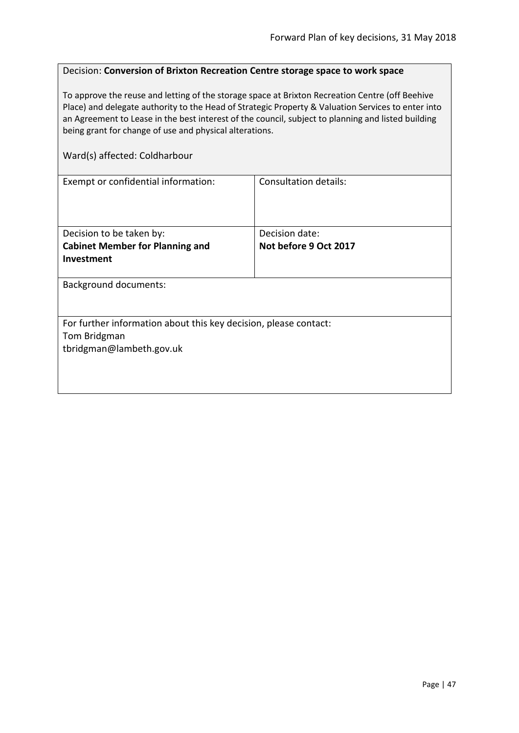# <span id="page-46-0"></span>Decision: **Conversion of Brixton Recreation Centre storage space to work space**

To approve the reuse and letting of the storage space at Brixton Recreation Centre (off Beehive Place) and delegate authority to the Head of Strategic Property & Valuation Services to enter into an Agreement to Lease in the best interest of the council, subject to planning and listed building being grant for change of use and physical alterations.

#### Ward(s) affected: Coldharbour

| Exempt or confidential information:                              | <b>Consultation details:</b> |
|------------------------------------------------------------------|------------------------------|
|                                                                  |                              |
|                                                                  |                              |
|                                                                  |                              |
| Decision to be taken by:                                         | Decision date:               |
| <b>Cabinet Member for Planning and</b>                           | Not before 9 Oct 2017        |
| Investment                                                       |                              |
|                                                                  |                              |
| <b>Background documents:</b>                                     |                              |
|                                                                  |                              |
|                                                                  |                              |
| For further information about this key decision, please contact: |                              |
| Tom Bridgman                                                     |                              |
| tbridgman@lambeth.gov.uk                                         |                              |
|                                                                  |                              |
|                                                                  |                              |
|                                                                  |                              |
|                                                                  |                              |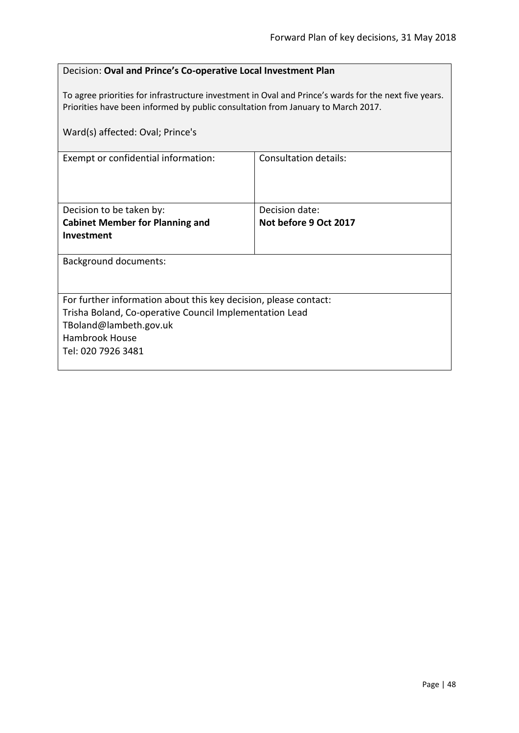### <span id="page-47-0"></span>Decision: **Oval and Prince's Co-operative Local Investment Plan**

To agree priorities for infrastructure investment in Oval and Prince's wards for the next five years. Priorities have been informed by public consultation from January to March 2017.

| Ward(s) affected: Oval; Prince's                                 |                       |  |
|------------------------------------------------------------------|-----------------------|--|
| Exempt or confidential information:                              | Consultation details: |  |
| Decision to be taken by:                                         | Decision date:        |  |
| <b>Cabinet Member for Planning and</b><br><b>Investment</b>      | Not before 9 Oct 2017 |  |
|                                                                  |                       |  |
| <b>Background documents:</b>                                     |                       |  |
|                                                                  |                       |  |
| For further information about this key decision, please contact: |                       |  |
| Trisha Boland, Co-operative Council Implementation Lead          |                       |  |
| TBoland@lambeth.gov.uk                                           |                       |  |
| <b>Hambrook House</b>                                            |                       |  |
| Tel: 020 7926 3481                                               |                       |  |
|                                                                  |                       |  |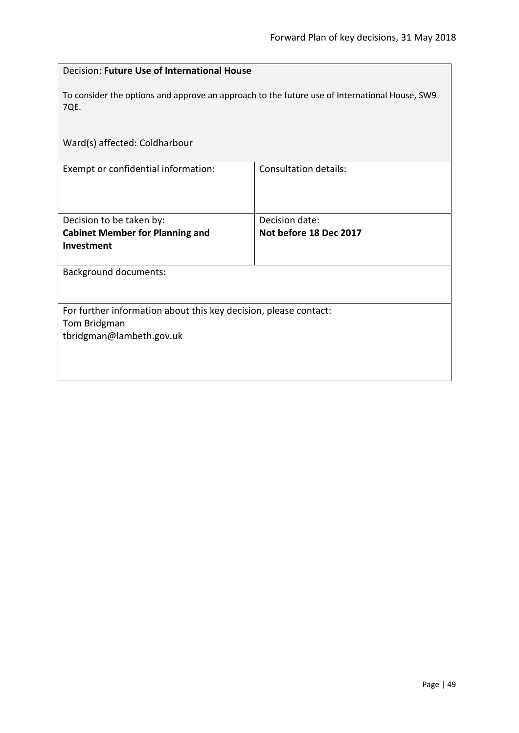<span id="page-48-0"></span>

| Decision: Future Use of International House                                                           |                              |  |
|-------------------------------------------------------------------------------------------------------|------------------------------|--|
| To consider the options and approve an approach to the future use of International House, SW9<br>7QE. |                              |  |
| Ward(s) affected: Coldharbour                                                                         |                              |  |
| Exempt or confidential information:                                                                   | <b>Consultation details:</b> |  |
| Decision to be taken by:                                                                              | Decision date:               |  |
| <b>Cabinet Member for Planning and</b>                                                                | Not before 18 Dec 2017       |  |
| Investment                                                                                            |                              |  |
| <b>Background documents:</b>                                                                          |                              |  |
|                                                                                                       |                              |  |
| For further information about this key decision, please contact:                                      |                              |  |
| Tom Bridgman                                                                                          |                              |  |
| tbridgman@lambeth.gov.uk                                                                              |                              |  |
|                                                                                                       |                              |  |
|                                                                                                       |                              |  |
|                                                                                                       |                              |  |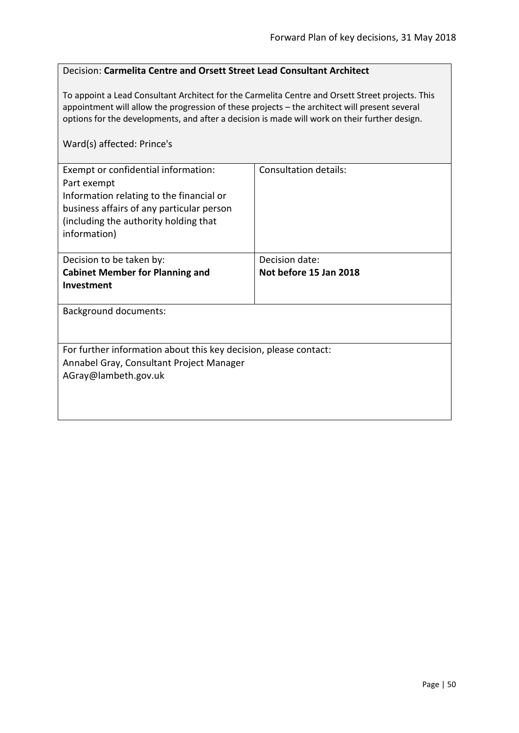#### <span id="page-49-0"></span>Decision: **Carmelita Centre and Orsett Street Lead Consultant Architect**

To appoint a Lead Consultant Architect for the Carmelita Centre and Orsett Street projects. This appointment will allow the progression of these projects – the architect will present several options for the developments, and after a decision is made will work on their further design.

#### Ward(s) affected: Prince's

| Exempt or confidential information:<br>Part exempt<br>Information relating to the financial or<br>business affairs of any particular person<br>(including the authority holding that<br>information) | Consultation details:  |
|------------------------------------------------------------------------------------------------------------------------------------------------------------------------------------------------------|------------------------|
|                                                                                                                                                                                                      |                        |
| Decision to be taken by:                                                                                                                                                                             | Decision date:         |
| <b>Cabinet Member for Planning and</b>                                                                                                                                                               | Not before 15 Jan 2018 |
| <b>Investment</b>                                                                                                                                                                                    |                        |
| <b>Background documents:</b>                                                                                                                                                                         |                        |
| For further information about this key decision, please contact:                                                                                                                                     |                        |
| Annabel Gray, Consultant Project Manager                                                                                                                                                             |                        |
| AGray@lambeth.gov.uk                                                                                                                                                                                 |                        |
|                                                                                                                                                                                                      |                        |
|                                                                                                                                                                                                      |                        |
|                                                                                                                                                                                                      |                        |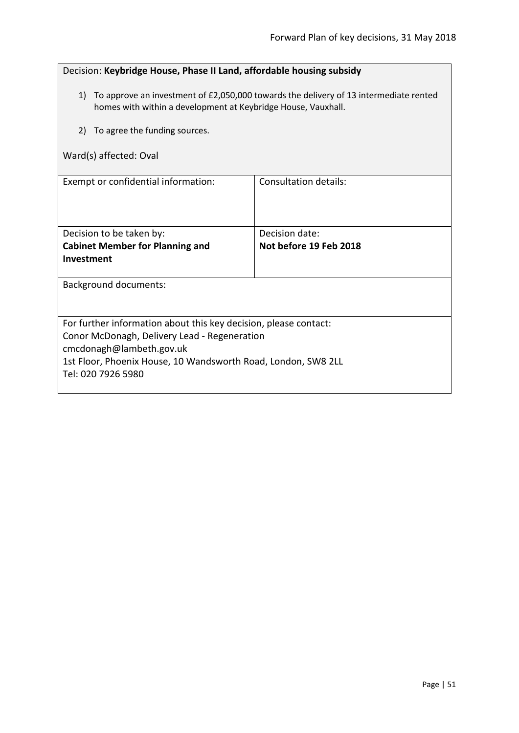<span id="page-50-0"></span>

| Decision: Keybridge House, Phase II Land, affordable housing subsidy                                                                                      |                |  |  |
|-----------------------------------------------------------------------------------------------------------------------------------------------------------|----------------|--|--|
| 1) To approve an investment of £2,050,000 towards the delivery of 13 intermediate rented<br>homes with within a development at Keybridge House, Vauxhall. |                |  |  |
| To agree the funding sources.<br>2)                                                                                                                       |                |  |  |
| Ward(s) affected: Oval                                                                                                                                    |                |  |  |
| Exempt or confidential information:<br><b>Consultation details:</b>                                                                                       |                |  |  |
| Decision to be taken by:                                                                                                                                  | Decision date: |  |  |
| <b>Cabinet Member for Planning and</b><br>Not before 19 Feb 2018<br>Investment                                                                            |                |  |  |
| <b>Background documents:</b>                                                                                                                              |                |  |  |
| For further information about this key decision, please contact:                                                                                          |                |  |  |
| Conor McDonagh, Delivery Lead - Regeneration<br>cmcdonagh@lambeth.gov.uk                                                                                  |                |  |  |
| 1st Floor, Phoenix House, 10 Wandsworth Road, London, SW8 2LL<br>Tel: 020 7926 5980                                                                       |                |  |  |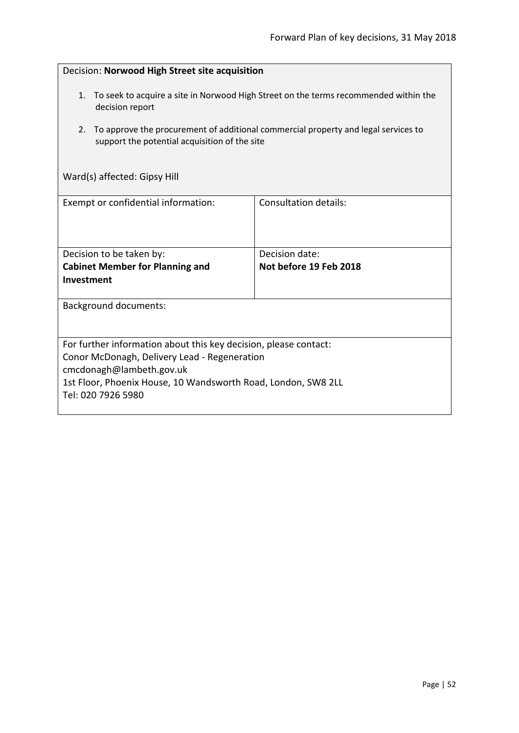<span id="page-51-0"></span>

| Decision: Norwood High Street site acquisition                                                                                                                                                                                                             |  |  |  |
|------------------------------------------------------------------------------------------------------------------------------------------------------------------------------------------------------------------------------------------------------------|--|--|--|
| To seek to acquire a site in Norwood High Street on the terms recommended within the<br>1.<br>decision report<br>To approve the procurement of additional commercial property and legal services to<br>2.<br>support the potential acquisition of the site |  |  |  |
| Ward(s) affected: Gipsy Hill                                                                                                                                                                                                                               |  |  |  |
| Consultation details:<br>Exempt or confidential information:                                                                                                                                                                                               |  |  |  |
| Decision date:<br>Decision to be taken by:<br>Not before 19 Feb 2018<br><b>Cabinet Member for Planning and</b><br>Investment                                                                                                                               |  |  |  |
| <b>Background documents:</b>                                                                                                                                                                                                                               |  |  |  |
| For further information about this key decision, please contact:<br>Conor McDonagh, Delivery Lead - Regeneration<br>cmcdonagh@lambeth.gov.uk<br>1st Floor, Phoenix House, 10 Wandsworth Road, London, SW8 2LL<br>Tel: 020 7926 5980                        |  |  |  |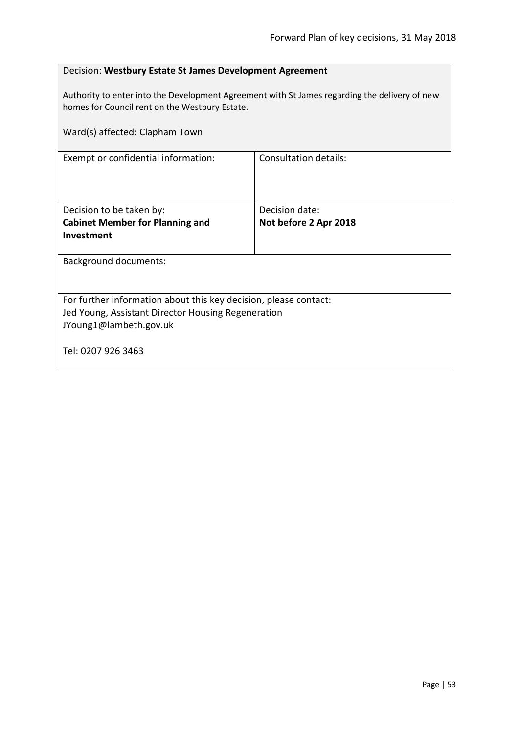<span id="page-52-0"></span>

| Decision: Westbury Estate St James Development Agreement                                                                                        |                              |  |
|-------------------------------------------------------------------------------------------------------------------------------------------------|------------------------------|--|
| Authority to enter into the Development Agreement with St James regarding the delivery of new<br>homes for Council rent on the Westbury Estate. |                              |  |
| Ward(s) affected: Clapham Town                                                                                                                  |                              |  |
| Exempt or confidential information:                                                                                                             | <b>Consultation details:</b> |  |
|                                                                                                                                                 |                              |  |
| Decision to be taken by:                                                                                                                        | Decision date:               |  |
| <b>Cabinet Member for Planning and</b>                                                                                                          | Not before 2 Apr 2018        |  |
| Investment                                                                                                                                      |                              |  |
| <b>Background documents:</b>                                                                                                                    |                              |  |
|                                                                                                                                                 |                              |  |
| For further information about this key decision, please contact:                                                                                |                              |  |
| Jed Young, Assistant Director Housing Regeneration                                                                                              |                              |  |
| JYoung1@lambeth.gov.uk                                                                                                                          |                              |  |
| Tel: 0207 926 3463                                                                                                                              |                              |  |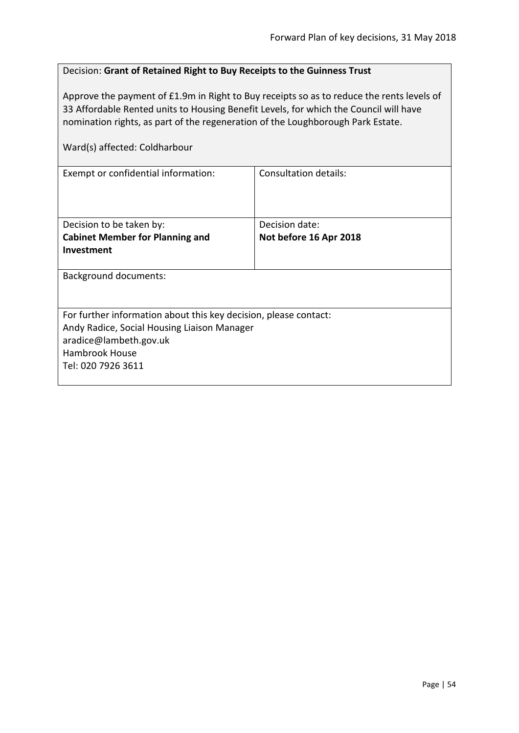<span id="page-53-0"></span>

| Decision: Grant of Retained Right to Buy Receipts to the Guinness Trust                                                                                                                                                                                                                                |                        |  |
|--------------------------------------------------------------------------------------------------------------------------------------------------------------------------------------------------------------------------------------------------------------------------------------------------------|------------------------|--|
| Approve the payment of £1.9m in Right to Buy receipts so as to reduce the rents levels of<br>33 Affordable Rented units to Housing Benefit Levels, for which the Council will have<br>nomination rights, as part of the regeneration of the Loughborough Park Estate.<br>Ward(s) affected: Coldharbour |                        |  |
| Consultation details:<br>Exempt or confidential information:                                                                                                                                                                                                                                           |                        |  |
|                                                                                                                                                                                                                                                                                                        |                        |  |
| Decision to be taken by:                                                                                                                                                                                                                                                                               | Decision date:         |  |
| <b>Cabinet Member for Planning and</b><br>Investment                                                                                                                                                                                                                                                   | Not before 16 Apr 2018 |  |
| <b>Background documents:</b>                                                                                                                                                                                                                                                                           |                        |  |
|                                                                                                                                                                                                                                                                                                        |                        |  |
| For further information about this key decision, please contact:                                                                                                                                                                                                                                       |                        |  |
| Andy Radice, Social Housing Liaison Manager<br>aradice@lambeth.gov.uk                                                                                                                                                                                                                                  |                        |  |
| <b>Hambrook House</b>                                                                                                                                                                                                                                                                                  |                        |  |
| Tel: 020 7926 3611                                                                                                                                                                                                                                                                                     |                        |  |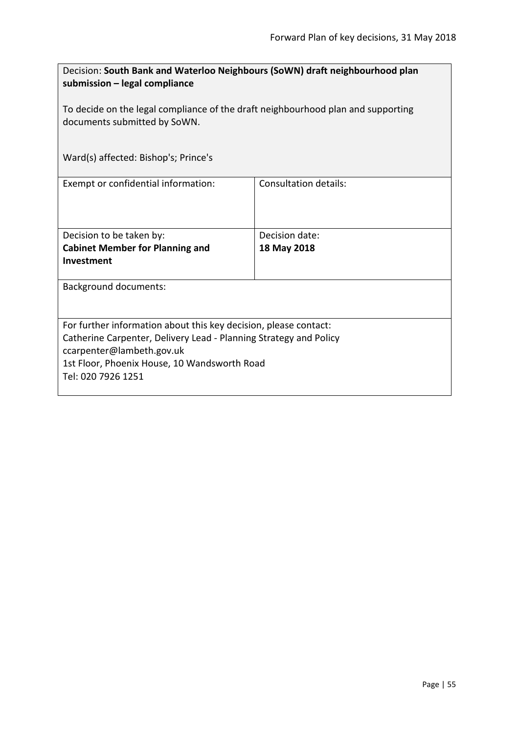<span id="page-54-0"></span>

| Decision: South Bank and Waterloo Neighbours (SoWN) draft neighbourhood plan<br>submission - legal compliance    |                       |  |
|------------------------------------------------------------------------------------------------------------------|-----------------------|--|
| To decide on the legal compliance of the draft neighbourhood plan and supporting<br>documents submitted by SoWN. |                       |  |
| Ward(s) affected: Bishop's; Prince's                                                                             |                       |  |
| Exempt or confidential information:                                                                              | Consultation details: |  |
| Decision to be taken by:                                                                                         | Decision date:        |  |
| <b>Cabinet Member for Planning and</b>                                                                           | 18 May 2018           |  |
| Investment                                                                                                       |                       |  |
| <b>Background documents:</b>                                                                                     |                       |  |
|                                                                                                                  |                       |  |
| For further information about this key decision, please contact:                                                 |                       |  |
| Catherine Carpenter, Delivery Lead - Planning Strategy and Policy                                                |                       |  |
| ccarpenter@lambeth.gov.uk                                                                                        |                       |  |
| 1st Floor, Phoenix House, 10 Wandsworth Road<br>Tel: 020 7926 1251                                               |                       |  |
|                                                                                                                  |                       |  |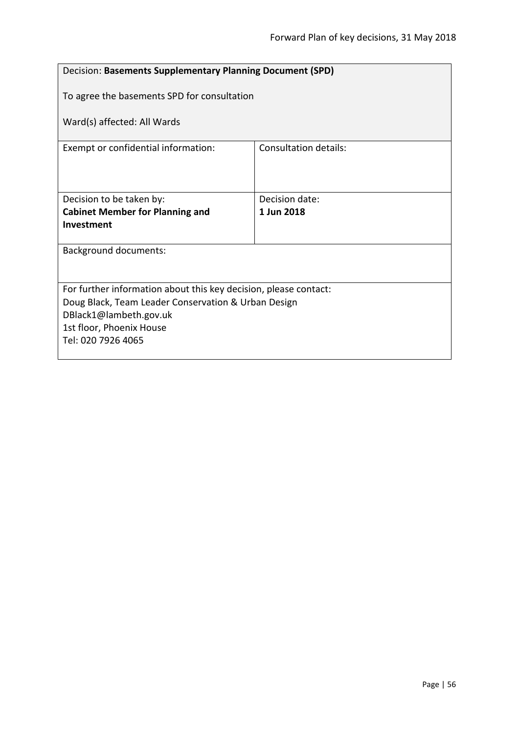<span id="page-55-0"></span>

| Decision: Basements Supplementary Planning Document (SPD)        |                              |  |
|------------------------------------------------------------------|------------------------------|--|
| To agree the basements SPD for consultation                      |                              |  |
| Ward(s) affected: All Wards                                      |                              |  |
| Exempt or confidential information:                              | <b>Consultation details:</b> |  |
|                                                                  |                              |  |
| Decision to be taken by:                                         | Decision date:               |  |
| <b>Cabinet Member for Planning and</b>                           | 1 Jun 2018                   |  |
| Investment                                                       |                              |  |
| <b>Background documents:</b>                                     |                              |  |
|                                                                  |                              |  |
| For further information about this key decision, please contact: |                              |  |
| Doug Black, Team Leader Conservation & Urban Design              |                              |  |
| DBlack1@lambeth.gov.uk                                           |                              |  |
| 1st floor, Phoenix House                                         |                              |  |
| Tel: 020 7926 4065                                               |                              |  |
|                                                                  |                              |  |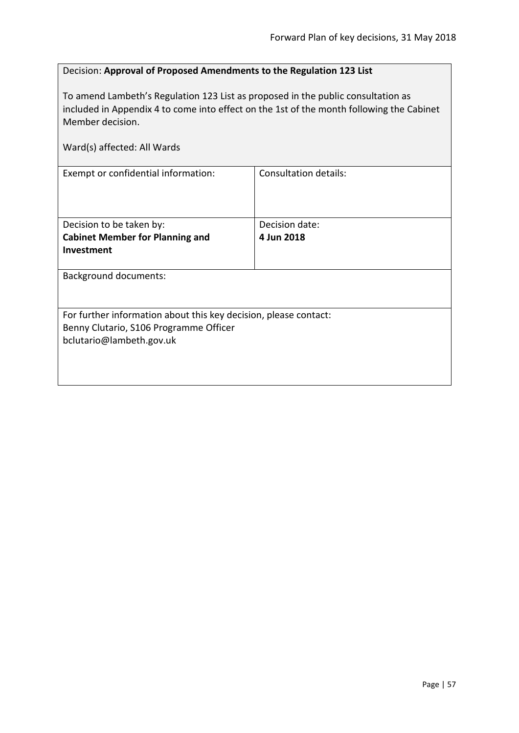# <span id="page-56-0"></span>Decision: **Approval of Proposed Amendments to the Regulation 123 List**

To amend Lambeth's Regulation 123 List as proposed in the public consultation as included in Appendix 4 to come into effect on the 1st of the month following the Cabinet Member decision.

| Ward(s) affected: All Wards                                      |                              |  |
|------------------------------------------------------------------|------------------------------|--|
| Exempt or confidential information:                              | <b>Consultation details:</b> |  |
| Decision to be taken by:                                         | Decision date:               |  |
| <b>Cabinet Member for Planning and</b>                           | 4 Jun 2018                   |  |
| Investment                                                       |                              |  |
| <b>Background documents:</b>                                     |                              |  |
| For further information about this key decision, please contact: |                              |  |
| Benny Clutario, S106 Programme Officer                           |                              |  |
| bclutario@lambeth.gov.uk                                         |                              |  |
|                                                                  |                              |  |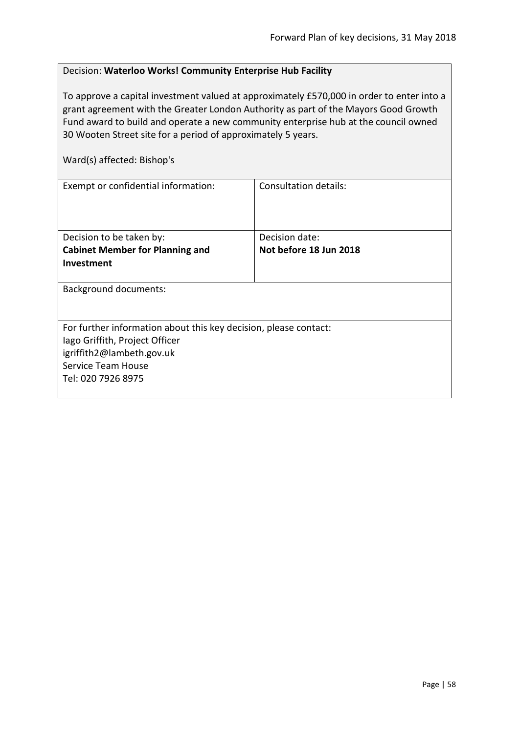# <span id="page-57-0"></span>Decision: **Waterloo Works! Community Enterprise Hub Facility**

To approve a capital investment valued at approximately £570,000 in order to enter into a grant agreement with the Greater London Authority as part of the Mayors Good Growth Fund award to build and operate a new community enterprise hub at the council owned 30 Wooten Street site for a period of approximately 5 years.

| Ward(s) affected: Bishop's                                       |                        |  |
|------------------------------------------------------------------|------------------------|--|
| Exempt or confidential information:                              | Consultation details:  |  |
|                                                                  |                        |  |
| Decision to be taken by:                                         | Decision date:         |  |
| <b>Cabinet Member for Planning and</b>                           | Not before 18 Jun 2018 |  |
| Investment                                                       |                        |  |
|                                                                  |                        |  |
| <b>Background documents:</b>                                     |                        |  |
|                                                                  |                        |  |
|                                                                  |                        |  |
| For further information about this key decision, please contact: |                        |  |
| lago Griffith, Project Officer                                   |                        |  |
| igriffith2@lambeth.gov.uk                                        |                        |  |
| Service Team House                                               |                        |  |
| Tel: 020 7926 8975                                               |                        |  |
|                                                                  |                        |  |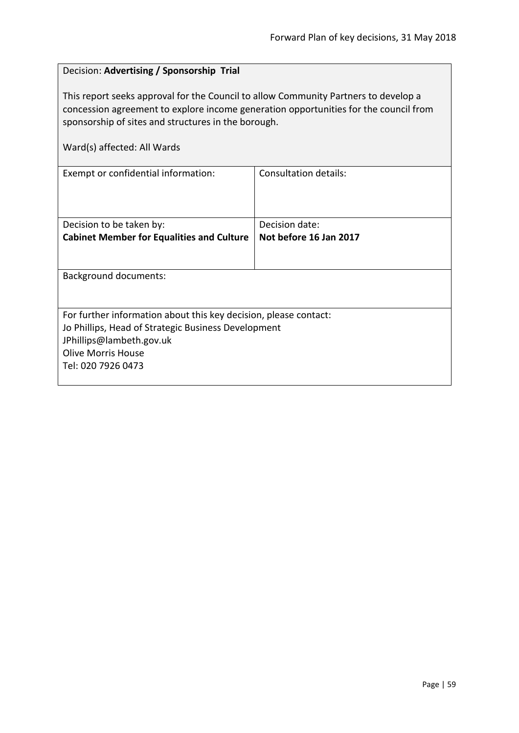# <span id="page-58-0"></span>Decision: **Advertising / Sponsorship Trial**

This report seeks approval for the Council to allow Community Partners to develop a concession agreement to explore income generation opportunities for the council from sponsorship of sites and structures in the borough.

|  | Ward(s) affected: All Wards |  |  |
|--|-----------------------------|--|--|
|--|-----------------------------|--|--|

| Exempt or confidential information:                              | Consultation details:  |  |
|------------------------------------------------------------------|------------------------|--|
|                                                                  |                        |  |
|                                                                  |                        |  |
|                                                                  |                        |  |
| Decision to be taken by:                                         | Decision date:         |  |
| <b>Cabinet Member for Equalities and Culture</b>                 | Not before 16 Jan 2017 |  |
|                                                                  |                        |  |
|                                                                  |                        |  |
| <b>Background documents:</b>                                     |                        |  |
|                                                                  |                        |  |
|                                                                  |                        |  |
| For further information about this key decision, please contact: |                        |  |
| Jo Phillips, Head of Strategic Business Development              |                        |  |
| JPhillips@lambeth.gov.uk                                         |                        |  |
| <b>Olive Morris House</b>                                        |                        |  |
| Tel: 020 7926 0473                                               |                        |  |
|                                                                  |                        |  |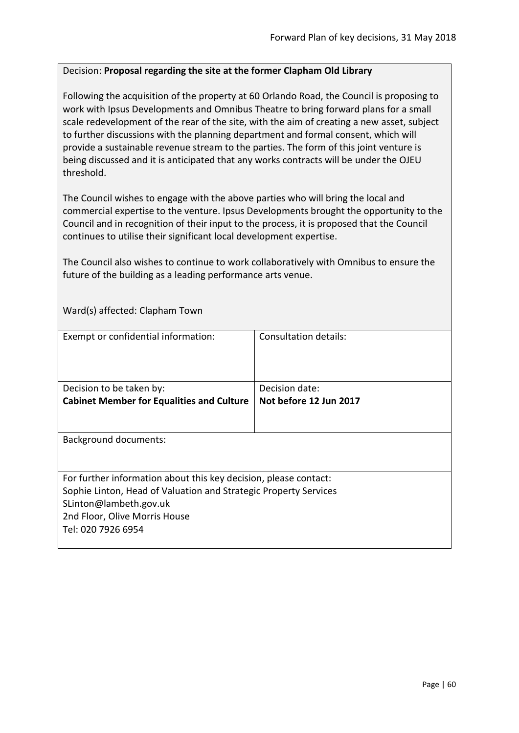### <span id="page-59-0"></span>Decision: **Proposal regarding the site at the former Clapham Old Library**

Following the acquisition of the property at 60 Orlando Road, the Council is proposing to work with Ipsus Developments and Omnibus Theatre to bring forward plans for a small scale redevelopment of the rear of the site, with the aim of creating a new asset, subject to further discussions with the planning department and formal consent, which will provide a sustainable revenue stream to the parties. The form of this joint venture is being discussed and it is anticipated that any works contracts will be under the OJEU threshold.

The Council wishes to engage with the above parties who will bring the local and commercial expertise to the venture. Ipsus Developments brought the opportunity to the Council and in recognition of their input to the process, it is proposed that the Council continues to utilise their significant local development expertise.

The Council also wishes to continue to work collaboratively with Omnibus to ensure the future of the building as a leading performance arts venue.

Ward(s) affected: Clapham Town

| Exempt or confidential information:                              | Consultation details:  |
|------------------------------------------------------------------|------------------------|
|                                                                  |                        |
|                                                                  |                        |
|                                                                  |                        |
|                                                                  |                        |
| Decision to be taken by:                                         | Decision date:         |
| <b>Cabinet Member for Equalities and Culture</b>                 | Not before 12 Jun 2017 |
|                                                                  |                        |
|                                                                  |                        |
|                                                                  |                        |
| <b>Background documents:</b>                                     |                        |
|                                                                  |                        |
|                                                                  |                        |
| For further information about this key decision, please contact: |                        |
| Sophie Linton, Head of Valuation and Strategic Property Services |                        |
| SLinton@lambeth.gov.uk                                           |                        |
|                                                                  |                        |
| 2nd Floor, Olive Morris House                                    |                        |
| Tel: 020 7926 6954                                               |                        |
|                                                                  |                        |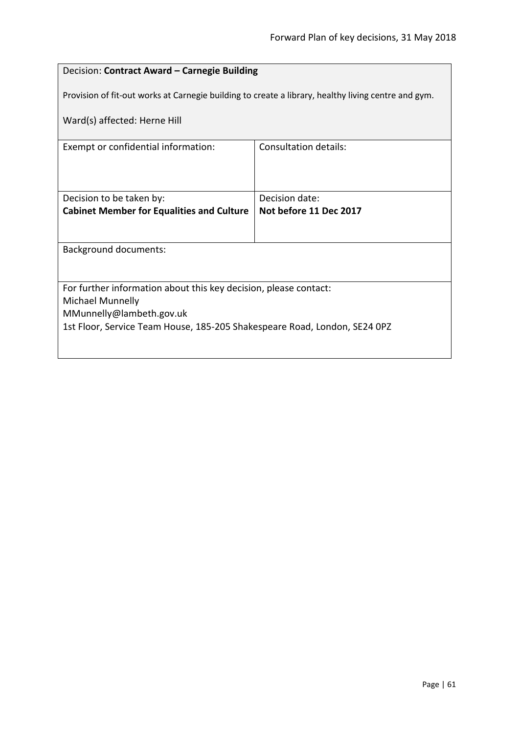# <span id="page-60-0"></span>Decision: **Contract Award – Carnegie Building**

Provision of fit-out works at Carnegie building to create a library, healthy living centre and gym.

Ward(s) affected: Herne Hill

| Exempt or confidential information:                                       | Consultation details:  |  |
|---------------------------------------------------------------------------|------------------------|--|
|                                                                           |                        |  |
|                                                                           |                        |  |
|                                                                           |                        |  |
| Decision to be taken by:                                                  | Decision date:         |  |
| <b>Cabinet Member for Equalities and Culture</b>                          | Not before 11 Dec 2017 |  |
|                                                                           |                        |  |
|                                                                           |                        |  |
| <b>Background documents:</b>                                              |                        |  |
|                                                                           |                        |  |
|                                                                           |                        |  |
| For further information about this key decision, please contact:          |                        |  |
| <b>Michael Munnelly</b>                                                   |                        |  |
| MMunnelly@lambeth.gov.uk                                                  |                        |  |
| 1st Floor, Service Team House, 185-205 Shakespeare Road, London, SE24 0PZ |                        |  |
|                                                                           |                        |  |
|                                                                           |                        |  |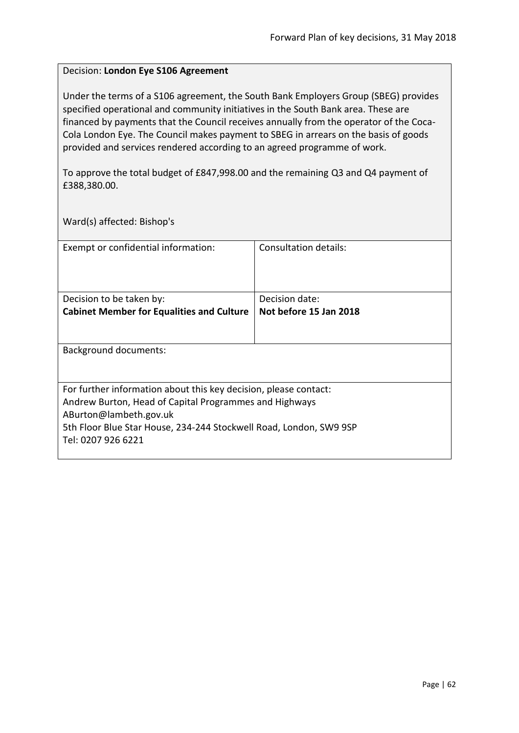### <span id="page-61-0"></span>Decision: **London Eye S106 Agreement**

Under the terms of a S106 agreement, the South Bank Employers Group (SBEG) provides specified operational and community initiatives in the South Bank area. These are financed by payments that the Council receives annually from the operator of the Coca-Cola London Eye. The Council makes payment to SBEG in arrears on the basis of goods provided and services rendered according to an agreed programme of work.

To approve the total budget of £847,998.00 and the remaining Q3 and Q4 payment of £388,380.00.

Ward(s) affected: Bishop's

| Exempt or confidential information:                                                                                                                  | Consultation details:  |
|------------------------------------------------------------------------------------------------------------------------------------------------------|------------------------|
| Decision to be taken by:                                                                                                                             | Decision date:         |
| <b>Cabinet Member for Equalities and Culture</b>                                                                                                     | Not before 15 Jan 2018 |
|                                                                                                                                                      |                        |
| Background documents:                                                                                                                                |                        |
| For further information about this key decision, please contact:<br>Andrew Burton, Head of Capital Programmes and Highways<br>ABurton@lambeth.gov.uk |                        |
| 5th Floor Blue Star House, 234-244 Stockwell Road, London, SW9 9SP<br>Tel: 0207 926 6221                                                             |                        |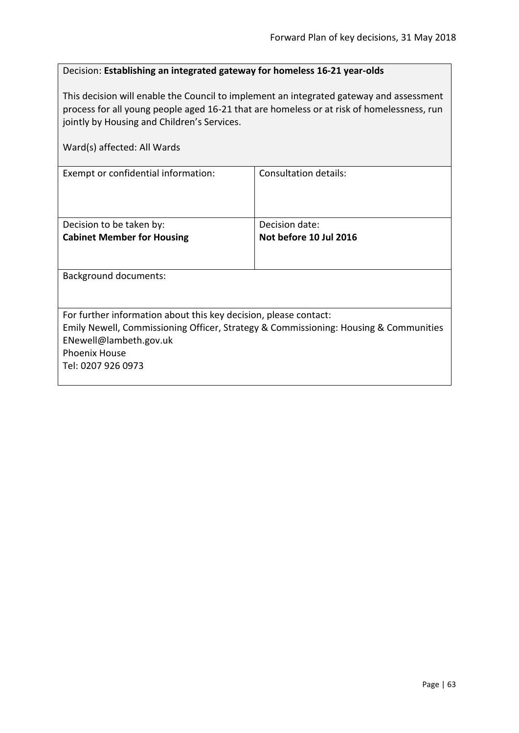# <span id="page-62-0"></span>Decision: **Establishing an integrated gateway for homeless 16-21 year-olds**

This decision will enable the Council to implement an integrated gateway and assessment process for all young people aged 16-21 that are homeless or at risk of homelessness, run jointly by Housing and Children's Services.

| Ward(s) affected: All Wards                                                                                                                                                                                                      |                                          |
|----------------------------------------------------------------------------------------------------------------------------------------------------------------------------------------------------------------------------------|------------------------------------------|
| Exempt or confidential information:                                                                                                                                                                                              | Consultation details:                    |
| Decision to be taken by:<br><b>Cabinet Member for Housing</b>                                                                                                                                                                    | Decision date:<br>Not before 10 Jul 2016 |
| <b>Background documents:</b>                                                                                                                                                                                                     |                                          |
| For further information about this key decision, please contact:<br>Emily Newell, Commissioning Officer, Strategy & Commissioning: Housing & Communities<br>ENewell@lambeth.gov.uk<br><b>Phoenix House</b><br>Tel: 0207 926 0973 |                                          |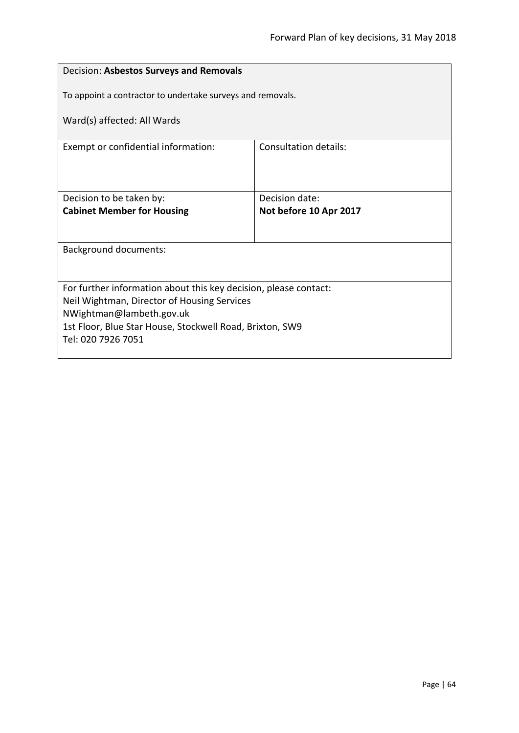<span id="page-63-0"></span>

| Decision: Asbestos Surveys and Removals                          |                                                            |  |
|------------------------------------------------------------------|------------------------------------------------------------|--|
|                                                                  | To appoint a contractor to undertake surveys and removals. |  |
| Ward(s) affected: All Wards                                      |                                                            |  |
|                                                                  |                                                            |  |
| Exempt or confidential information:                              | <b>Consultation details:</b>                               |  |
|                                                                  |                                                            |  |
|                                                                  |                                                            |  |
| Decision to be taken by:                                         | Decision date:                                             |  |
| <b>Cabinet Member for Housing</b>                                | Not before 10 Apr 2017                                     |  |
|                                                                  |                                                            |  |
| <b>Background documents:</b>                                     |                                                            |  |
|                                                                  |                                                            |  |
| For further information about this key decision, please contact: |                                                            |  |
| Neil Wightman, Director of Housing Services                      |                                                            |  |
| NWightman@lambeth.gov.uk                                         |                                                            |  |
| 1st Floor, Blue Star House, Stockwell Road, Brixton, SW9         |                                                            |  |
| Tel: 020 7926 7051                                               |                                                            |  |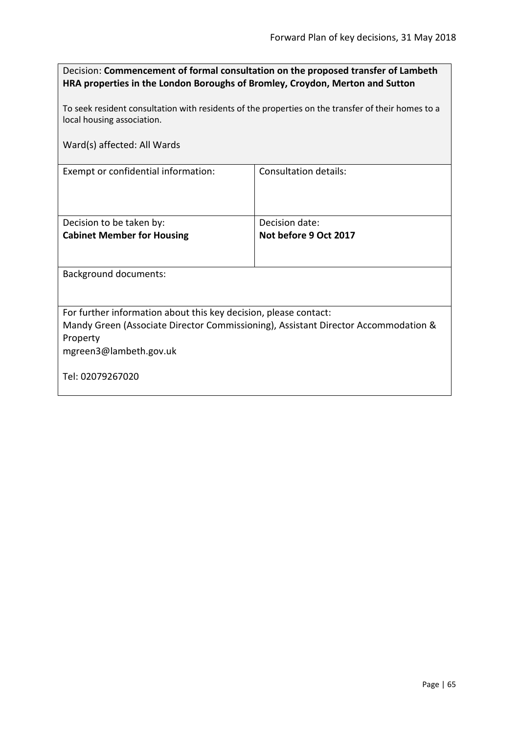<span id="page-64-0"></span>

| Decision: Commencement of formal consultation on the proposed transfer of Lambeth |
|-----------------------------------------------------------------------------------|
| HRA properties in the London Boroughs of Bromley, Croydon, Merton and Sutton      |

To seek resident consultation with residents of the properties on the transfer of their homes to a local housing association.

Ward(s) affected: All Wards

Exempt or confidential information: Consultation details:

| Decision to be taken by:          | Decision date:        |
|-----------------------------------|-----------------------|
| <b>Cabinet Member for Housing</b> | Not before 9 Oct 2017 |
|                                   |                       |
|                                   |                       |

Background documents:

For further information about this key decision, please contact:

Mandy Green (Associate Director Commissioning), Assistant Director Accommodation & Property

mgreen3@lambeth.gov.uk

Tel: 02079267020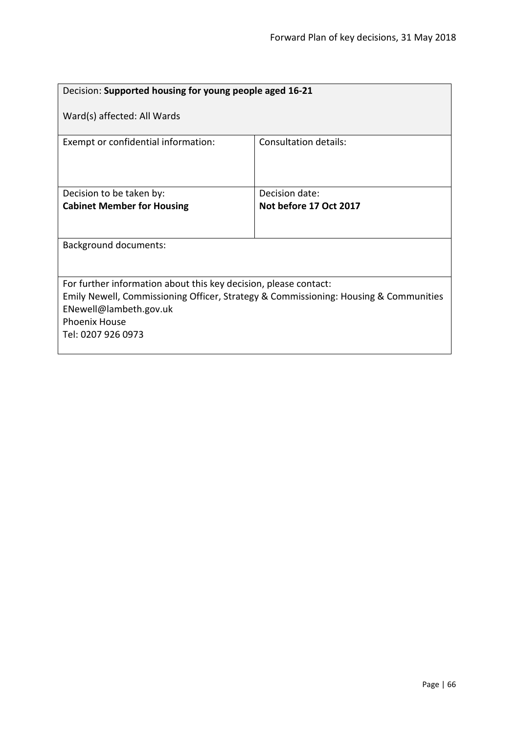<span id="page-65-0"></span>

| Decision: Supported housing for young people aged 16-21                                                                                                  |                        |  |
|----------------------------------------------------------------------------------------------------------------------------------------------------------|------------------------|--|
| Ward(s) affected: All Wards                                                                                                                              |                        |  |
| Exempt or confidential information:                                                                                                                      | Consultation details:  |  |
| Decision to be taken by:                                                                                                                                 | Decision date:         |  |
| <b>Cabinet Member for Housing</b>                                                                                                                        | Not before 17 Oct 2017 |  |
|                                                                                                                                                          |                        |  |
| <b>Background documents:</b>                                                                                                                             |                        |  |
|                                                                                                                                                          |                        |  |
| For further information about this key decision, please contact:<br>Emily Newell, Commissioning Officer, Strategy & Commissioning: Housing & Communities |                        |  |
| ENewell@lambeth.gov.uk<br><b>Phoenix House</b>                                                                                                           |                        |  |
| Tel: 0207 926 0973                                                                                                                                       |                        |  |
|                                                                                                                                                          |                        |  |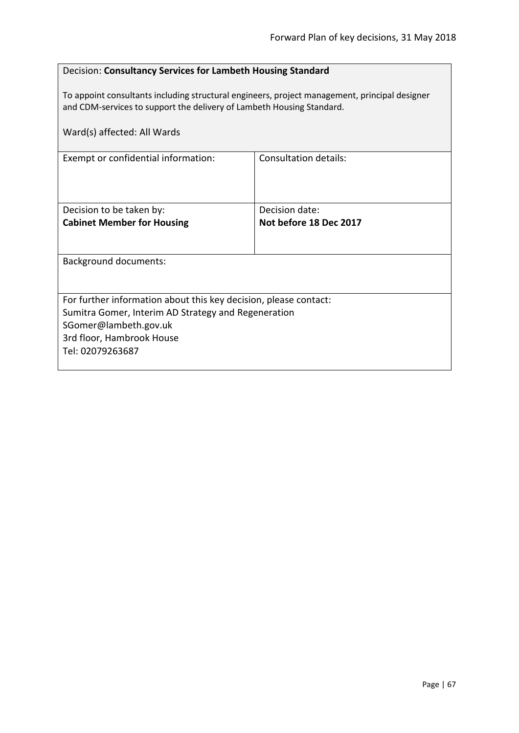# <span id="page-66-0"></span>Decision: **Consultancy Services for Lambeth Housing Standard**

To appoint consultants including structural engineers, project management, principal designer and CDM-services to support the delivery of Lambeth Housing Standard.

| Ward(s) affected: All Wards                                                                                                                                                                       |                                          |
|---------------------------------------------------------------------------------------------------------------------------------------------------------------------------------------------------|------------------------------------------|
| Exempt or confidential information:                                                                                                                                                               | <b>Consultation details:</b>             |
| Decision to be taken by:<br><b>Cabinet Member for Housing</b>                                                                                                                                     | Decision date:<br>Not before 18 Dec 2017 |
| Background documents:                                                                                                                                                                             |                                          |
| For further information about this key decision, please contact:<br>Sumitra Gomer, Interim AD Strategy and Regeneration<br>SGomer@lambeth.gov.uk<br>3rd floor, Hambrook House<br>Tel: 02079263687 |                                          |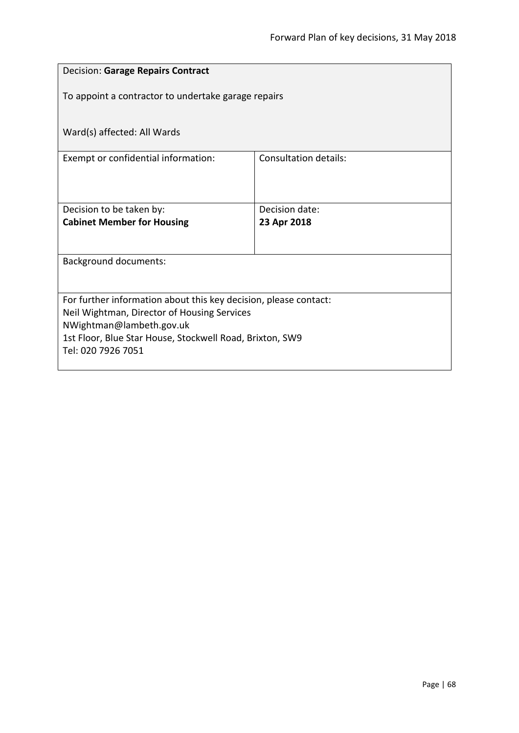<span id="page-67-0"></span>

| <b>Decision: Garage Repairs Contract</b>                                             |                              |
|--------------------------------------------------------------------------------------|------------------------------|
| To appoint a contractor to undertake garage repairs                                  |                              |
| Ward(s) affected: All Wards                                                          |                              |
| Exempt or confidential information:                                                  | <b>Consultation details:</b> |
|                                                                                      |                              |
| Decision to be taken by:                                                             | Decision date:               |
| <b>Cabinet Member for Housing</b>                                                    | 23 Apr 2018                  |
|                                                                                      |                              |
| <b>Background documents:</b>                                                         |                              |
|                                                                                      |                              |
| For further information about this key decision, please contact:                     |                              |
| Neil Wightman, Director of Housing Services                                          |                              |
| NWightman@lambeth.gov.uk<br>1st Floor, Blue Star House, Stockwell Road, Brixton, SW9 |                              |
| Tel: 020 7926 7051                                                                   |                              |
|                                                                                      |                              |